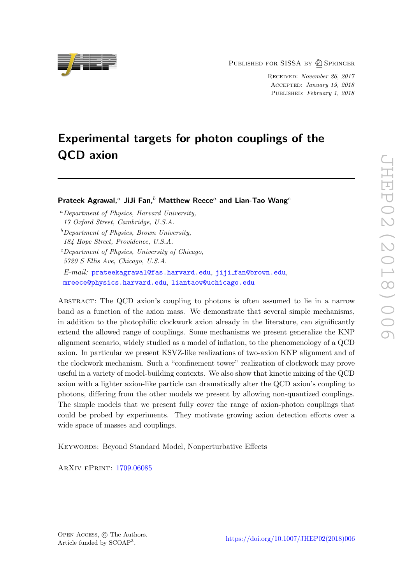PUBLISHED FOR SISSA BY 2 SPRINGER

Received: November 26, 2017 Accepted: January 19, 2018 PUBLISHED: February 1, 2018

# Experimental targets for photon couplings of the QCD axion

Prateek Agrawal,<sup>a</sup> JiJi Fan,<sup>b</sup> Matthew Reece<sup>a</sup> and Lian-Tao Wang<sup>c</sup>

<sup>a</sup>Department of Physics, Harvard University, 17 Oxford Street, Cambridge, U.S.A.

184 Hope Street, Providence, U.S.A.

E-mail: [prateekagrawal@fas.harvard.edu](mailto:prateekagrawal@fas.harvard.edu), jiji [fan@brown.edu](mailto:jiji_fan@brown.edu), [mreece@physics.harvard.edu](mailto:mreece@physics.harvard.edu), [liantaow@uchicago.edu](mailto:liantaow@uchicago.edu)

Abstract: The QCD axion's coupling to photons is often assumed to lie in a narrow band as a function of the axion mass. We demonstrate that several simple mechanisms, in addition to the photophilic clockwork axion already in the literature, can significantly extend the allowed range of couplings. Some mechanisms we present generalize the KNP alignment scenario, widely studied as a model of inflation, to the phenomenology of a QCD axion. In particular we present KSVZ-like realizations of two-axion KNP alignment and of the clockwork mechanism. Such a "confinement tower" realization of clockwork may prove useful in a variety of model-building contexts. We also show that kinetic mixing of the QCD axion with a lighter axion-like particle can dramatically alter the QCD axion's coupling to photons, differing from the other models we present by allowing non-quantized couplings. The simple models that we present fully cover the range of axion-photon couplings that could be probed by experiments. They motivate growing axion detection efforts over a wide space of masses and couplings.

KEYWORDS: Beyond Standard Model, Nonperturbative Effects

ArXiv ePrint: [1709.06085](https://arxiv.org/abs/1709.06085)



 $b$  Department of Physics, Brown University,

 $c$ Department of Physics, University of Chicago, 5720 S Ellis Ave, Chicago, U.S.A.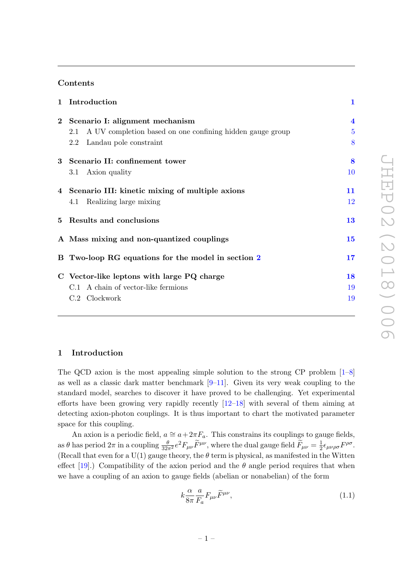# Contents

| 1 Introduction                                                   | $\mathbf{1}$            |
|------------------------------------------------------------------|-------------------------|
| 2 Scenario I: alignment mechanism                                | $\overline{\mathbf{4}}$ |
| A UV completion based on one confining hidden gauge group<br>2.1 | 5                       |
| Landau pole constraint<br>$2.2\phantom{0}$                       | 8                       |
| 3 Scenario II: confinement tower                                 | 8                       |
| 3.1 Axion quality                                                | 10                      |
| 4 Scenario III: kinetic mixing of multiple axions                | 11                      |
| 4.1 Realizing large mixing                                       | 12                      |
| 5 Results and conclusions                                        | 13                      |
| A Mass mixing and non-quantized couplings                        | 15                      |
| B Two-loop RG equations for the model in section 2               | 17                      |
| C Vector-like leptons with large PQ charge                       | 18                      |
| C.1 A chain of vector-like fermions                              | 19                      |
| C.2 Clockwork                                                    | 19                      |
|                                                                  |                         |

# <span id="page-1-0"></span>1 Introduction

The QCD axion is the most appealing simple solution to the strong CP problem [\[1](#page-20-0)[–8\]](#page-20-1) as well as a classic dark matter benchmark  $[9-11]$  $[9-11]$ . Given its very weak coupling to the standard model, searches to discover it have proved to be challenging. Yet experimental efforts have been growing very rapidly recently [\[12](#page-20-4)[–18\]](#page-21-0) with several of them aiming at detecting axion-photon couplings. It is thus important to chart the motivated parameter space for this coupling.

An axion is a periodic field,  $a \approx a + 2\pi F_a$ . This constrains its couplings to gauge fields, as  $\theta$  has period  $2\pi$  in a coupling  $\frac{\theta}{32\pi^2}e^2F_{\mu\nu}\widetilde{F}^{\mu\nu}$ , where the dual gauge field  $\widetilde{F}_{\mu\nu} = \frac{1}{2}$  $\frac{1}{2}\epsilon_{\mu\nu\rho\sigma}F^{\rho\sigma}$ . (Recall that even for a U(1) gauge theory, the  $\theta$  term is physical, as manifested in the Witten effect [\[19\]](#page-21-1).) Compatibility of the axion period and the  $\theta$  angle period requires that when we have a coupling of an axion to gauge fields (abelian or nonabelian) of the form

<span id="page-1-1"></span>
$$
k\frac{\alpha}{8\pi}\frac{a}{F_a}F_{\mu\nu}\widetilde{F}^{\mu\nu},\tag{1.1}
$$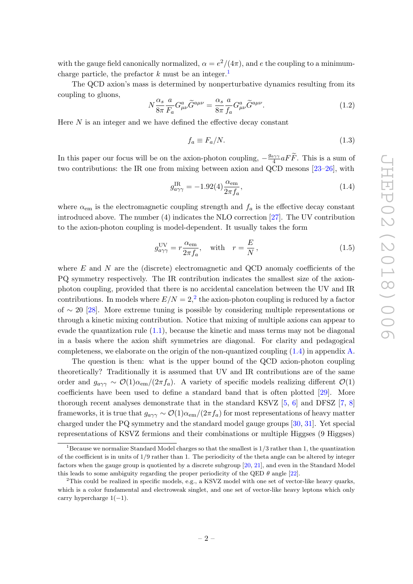with the gauge field canonically normalized,  $\alpha = e^2/(4\pi)$ , and e the coupling to a minimumcharge particle, the prefactor  $k$  must be an integer.<sup>[1](#page-2-0)</sup>

The QCD axion's mass is determined by nonperturbative dynamics resulting from its coupling to gluons,

<span id="page-2-3"></span>
$$
N\frac{\alpha_s}{8\pi} \frac{a}{F_a} G^a_{\mu\nu} \widetilde{G}^{a\mu\nu} = \frac{\alpha_s}{8\pi} \frac{a}{f_a} G^a_{\mu\nu} \widetilde{G}^{a\mu\nu}.
$$
 (1.2)

Here  $N$  is an integer and we have defined the effective decay constant

<span id="page-2-2"></span>
$$
f_a \equiv F_a/N. \tag{1.3}
$$

In this paper our focus will be on the axion-photon coupling,  $-\frac{g_{a\gamma\gamma}}{4}$  $\frac{4\gamma\gamma}{4}aFF$ . This is a sum of two contributions: the IR one from mixing between axion and QCD mesons [\[23–](#page-21-2)[26\]](#page-21-3), with

$$
g_{a\gamma\gamma}^{\rm IR} = -1.92(4)\frac{\alpha_{\rm em}}{2\pi f_a},\tag{1.4}
$$

where  $\alpha_{em}$  is the electromagnetic coupling strength and  $f_a$  is the effective decay constant introduced above. The number (4) indicates the NLO correction [\[27\]](#page-21-4). The UV contribution to the axion-photon coupling is model-dependent. It usually takes the form

$$
g_{a\gamma\gamma}^{\text{UV}} = r \frac{\alpha_{\text{em}}}{2\pi f_a}, \quad \text{with} \quad r = \frac{E}{N}, \tag{1.5}
$$

where  $E$  and  $N$  are the (discrete) electromagnetic and QCD anomaly coefficients of the PQ symmetry respectively. The IR contribution indicates the smallest size of the axionphoton coupling, provided that there is no accidental cancelation between the UV and IR contributions. In models where  $E/N = 2<sup>2</sup>$  $E/N = 2<sup>2</sup>$  $E/N = 2<sup>2</sup>$ , the axion-photon coupling is reduced by a factor of ∼ 20 [\[28\]](#page-21-5). More extreme tuning is possible by considering multiple representations or through a kinetic mixing contribution. Notice that mixing of multiple axions can appear to evade the quantization rule  $(1.1)$ , because the kinetic and mass terms may not be diagonal in a basis where the axion shift symmetries are diagonal. For clarity and pedagogical completeness, we elaborate on the origin of the non-quantized coupling [\(1.4\)](#page-2-2) in appendix [A.](#page-15-0)

The question is then: what is the upper bound of the QCD axion-photon coupling theoretically? Traditionally it is assumed that UV and IR contributions are of the same order and  $g_{a\gamma\gamma} \sim \mathcal{O}(1)\alpha_{\rm em}/(2\pi f_a)$ . A variety of specific models realizing different  $\mathcal{O}(1)$ coefficients have been used to define a standard band that is often plotted [\[29\]](#page-21-6). More thorough recent analyses demonstrate that in the standard KSVZ  $[5, 6]$  $[5, 6]$  $[5, 6]$  and DFSZ  $[7, 8]$  $[7, 8]$  $[7, 8]$ frameworks, it is true that  $g_{a\gamma\gamma} \sim \mathcal{O}(1) \alpha_{em} / (2\pi f_a)$  for most representations of heavy matter charged under the PQ symmetry and the standard model gauge groups [\[30,](#page-21-7) [31\]](#page-21-8). Yet special representations of KSVZ fermions and their combinations or multiple Higgses (9 Higgses)

<span id="page-2-0"></span><sup>&</sup>lt;sup>1</sup>Because we normalize Standard Model charges so that the smallest is  $1/3$  rather than 1, the quantization of the coefficient is in units of 1/9 rather than 1. The periodicity of the theta angle can be altered by integer factors when the gauge group is quotiented by a discrete subgroup [\[20,](#page-21-9) [21\]](#page-21-10), and even in the Standard Model this leads to some ambiguity regarding the proper periodicity of the QED  $\theta$  angle [\[22\]](#page-21-11).

<span id="page-2-1"></span> $2$ This could be realized in specific models, e.g., a KSVZ model with one set of vector-like heavy quarks, which is a color fundamental and electroweak singlet, and one set of vector-like heavy leptons which only carry hypercharge  $1(-1)$ .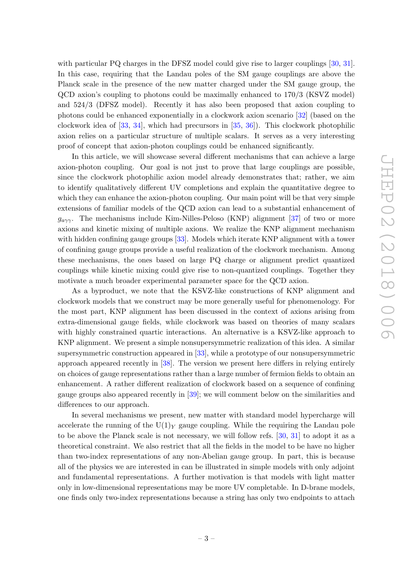with particular PQ charges in the DFSZ model could give rise to larger couplings [\[30,](#page-21-7) [31\]](#page-21-8). In this case, requiring that the Landau poles of the SM gauge couplings are above the Planck scale in the presence of the new matter charged under the SM gauge group, the QCD axion's coupling to photons could be maximally enhanced to 170/3 (KSVZ model) and 524/3 (DFSZ model). Recently it has also been proposed that axion coupling to photons could be enhanced exponentially in a clockwork axion scenario [\[32\]](#page-21-12) (based on the clockwork idea of [\[33,](#page-21-13) [34\]](#page-21-14), which had precursors in [\[35,](#page-22-0) [36\]](#page-22-1)). This clockwork photophilic axion relies on a particular structure of multiple scalars. It serves as a very interesting proof of concept that axion-photon couplings could be enhanced significantly.

In this article, we will showcase several different mechanisms that can achieve a large axion-photon coupling. Our goal is not just to prove that large couplings are possible, since the clockwork photophilic axion model already demonstrates that; rather, we aim to identify qualitatively different UV completions and explain the quantitative degree to which they can enhance the axion-photon coupling. Our main point will be that very simple extensions of familiar models of the QCD axion can lead to a substantial enhancement of  $g_{a\gamma\gamma}$ . The mechanisms include Kim-Nilles-Peloso (KNP) alignment [\[37\]](#page-22-2) of two or more axions and kinetic mixing of multiple axions. We realize the KNP alignment mechanism with hidden confining gauge groups [\[33\]](#page-21-13). Models which iterate KNP alignment with a tower of confining gauge groups provide a useful realization of the clockwork mechanism. Among these mechanisms, the ones based on large PQ charge or alignment predict quantized couplings while kinetic mixing could give rise to non-quantized couplings. Together they motivate a much broader experimental parameter space for the QCD axion.

As a byproduct, we note that the KSVZ-like constructions of KNP alignment and clockwork models that we construct may be more generally useful for phenomenology. For the most part, KNP alignment has been discussed in the context of axions arising from extra-dimensional gauge fields, while clockwork was based on theories of many scalars with highly constrained quartic interactions. An alternative is a KSVZ-like approach to KNP alignment. We present a simple nonsupersymmetric realization of this idea. A similar supersymmetric construction appeared in [\[33\]](#page-21-13), while a prototype of our nonsupersymmetric approach appeared recently in [\[38\]](#page-22-3). The version we present here differs in relying entirely on choices of gauge representations rather than a large number of fermion fields to obtain an enhancement. A rather different realization of clockwork based on a sequence of confining gauge groups also appeared recently in [\[39\]](#page-22-4); we will comment below on the similarities and differences to our approach.

In several mechanisms we present, new matter with standard model hypercharge will accelerate the running of the  $U(1)_Y$  gauge coupling. While the requiring the Landau pole to be above the Planck scale is not necessary, we will follow refs. [\[30,](#page-21-7) [31\]](#page-21-8) to adopt it as a theoretical constraint. We also restrict that all the fields in the model to be have no higher than two-index representations of any non-Abelian gauge group. In part, this is because all of the physics we are interested in can be illustrated in simple models with only adjoint and fundamental representations. A further motivation is that models with light matter only in low-dimensional representations may be more UV completable. In D-brane models, one finds only two-index representations because a string has only two endpoints to attach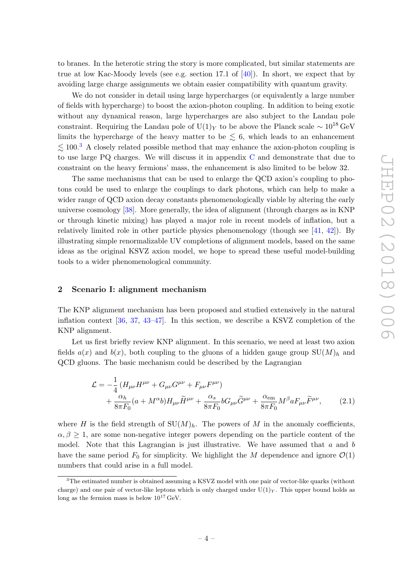to branes. In the heterotic string the story is more complicated, but similar statements are true at low Kac-Moody levels (see e.g. section 17.1 of  $[40]$ ). In short, we expect that by avoiding large charge assignments we obtain easier compatibility with quantum gravity.

We do not consider in detail using large hypercharges (or equivalently a large number of fields with hypercharge) to boost the axion-photon coupling. In addition to being exotic without any dynamical reason, large hypercharges are also subject to the Landau pole constraint. Requiring the Landau pole of U(1)<sub>Y</sub> to be above the Planck scale  $\sim 10^{18} \text{ GeV}$ limits the hypercharge of the heavy matter to be  $\leq 6$ , which leads to an enhancement  $\lesssim$  100.<sup>[3](#page-4-1)</sup> A closely related possible method that may enhance the axion-photon coupling is to use large PQ charges. We will discuss it in appendix [C](#page-18-0) and demonstrate that due to constraint on the heavy fermions' mass, the enhancement is also limited to be below 32.

The same mechanisms that can be used to enlarge the QCD axion's coupling to photons could be used to enlarge the couplings to dark photons, which can help to make a wider range of QCD axion decay constants phenomenologically viable by altering the early universe cosmology [\[38\]](#page-22-3). More generally, the idea of alignment (through charges as in KNP or through kinetic mixing) has played a major role in recent models of inflation, but a relatively limited role in other particle physics phenomenology (though see [\[41,](#page-22-6) [42\]](#page-22-7)). By illustrating simple renormalizable UV completions of alignment models, based on the same ideas as the original KSVZ axion model, we hope to spread these useful model-building tools to a wider phenomenological community.

### <span id="page-4-0"></span>2 Scenario I: alignment mechanism

The KNP alignment mechanism has been proposed and studied extensively in the natural inflation context [\[36,](#page-22-1) [37,](#page-22-2) [43](#page-22-8)[–47\]](#page-22-9). In this section, we describe a KSVZ completion of the KNP alignment.

Let us first briefly review KNP alignment. In this scenario, we need at least two axion fields  $a(x)$  and  $b(x)$ , both coupling to the gluons of a hidden gauge group  $SU(M)<sub>h</sub>$  and QCD gluons. The basic mechanism could be described by the Lagrangian

$$
\mathcal{L} = -\frac{1}{4} \left( H_{\mu\nu} H^{\mu\nu} + G_{\mu\nu} G^{\mu\nu} + F_{\mu\nu} F^{\mu\nu} \right) \n+ \frac{\alpha_h}{8\pi F_0} (a + M^{\alpha} b) H_{\mu\nu} \tilde{H}^{\mu\nu} + \frac{\alpha_s}{8\pi F_0} b G_{\mu\nu} \tilde{G}^{\mu\nu} + \frac{\alpha_{em}}{8\pi F_0} M^{\beta} a F_{\mu\nu} \tilde{F}^{\mu\nu},
$$
\n(2.1)

where H is the field strength of  $SU(M)_h$ . The powers of M in the anomaly coefficients,  $\alpha, \beta \geq 1$ , are some non-negative integer powers depending on the particle content of the model. Note that this Lagrangian is just illustrative. We have assumed that  $a$  and  $b$ have the same period  $F_0$  for simplicity. We highlight the M dependence and ignore  $\mathcal{O}(1)$ numbers that could arise in a full model.

<span id="page-4-1"></span><sup>&</sup>lt;sup>3</sup>The estimated number is obtained assuming a KSVZ model with one pair of vector-like quarks (without charge) and one pair of vector-like leptons which is only charged under  $U(1)_Y$ . This upper bound holds as long as the fermion mass is below  $10^{17}$  GeV.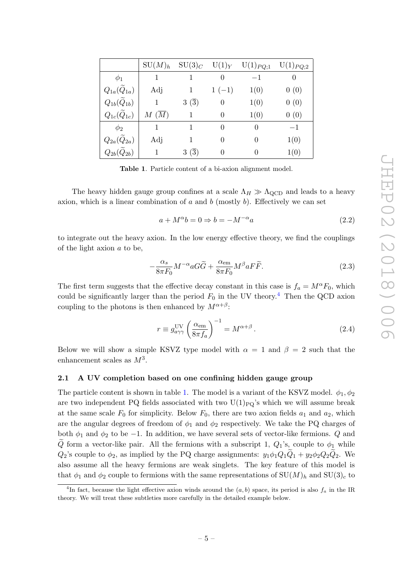|                              | $SU(M)_h$ | $\mathrm{SU}(3)_C$ | $U(1)_Y$ | $U(1)_{PQ;1}$ | $U(1)_{PQ;2}$ |
|------------------------------|-----------|--------------------|----------|---------------|---------------|
| $\phi_1$                     | 1         |                    | $\theta$ | $-1$          |               |
| $Q_{1a}(\widetilde{Q}_{1a})$ | Adj       |                    | $1(-1)$  | 1(0)          | 0(0)          |
| $Q_{1b}(\widetilde{Q}_{1b})$ |           | $3\ (3)$           | $\theta$ | 1(0)          | 0(0)          |
| $Q_{1c}(\widetilde{Q}_{1c})$ | M(M)      |                    | $\theta$ | 1(0)          | 0(0)          |
| $\phi_2$                     | 1         |                    | $\theta$ | 0             | $-1$          |
| $Q_{2a}(\widetilde{Q}_{2a})$ | Adj       |                    | $\theta$ | $\theta$      | 1(0)          |
| $Q_{2b}(Q_{2b})$             |           | $3\ (3)$           |          |               | 1(0)          |

<span id="page-5-2"></span>Table 1. Particle content of a bi-axion alignment model.

The heavy hidden gauge group confines at a scale  $\Lambda_H \gg \Lambda_{\text{QCD}}$  and leads to a heavy axion, which is a linear combination of  $a$  and  $b$  (mostly  $b$ ). Effectively we can set

$$
a + M^{\alpha}b = 0 \Rightarrow b = -M^{-\alpha}a \tag{2.2}
$$

to integrate out the heavy axion. In the low energy effective theory, we find the couplings of the light axion a to be,

$$
-\frac{\alpha_s}{8\pi F_0}M^{-\alpha}aG\widetilde{G} + \frac{\alpha_{\rm em}}{8\pi F_0}M^{\beta}aF\widetilde{F}.
$$
 (2.3)

The first term suggests that the effective decay constant in this case is  $f_a = M^{\alpha}F_0$ , which could be significantly larger than the period  $F_0$  in the UV theory.<sup>[4](#page-5-1)</sup> Then the QCD axion coupling to the photons is then enhanced by  $M^{\alpha+\beta}$ :

$$
r \equiv g_{a\gamma\gamma}^{\rm UV} \left(\frac{\alpha_{\rm em}}{8\pi f_a}\right)^{-1} = M^{\alpha+\beta}.
$$
 (2.4)

Below we will show a simple KSVZ type model with  $\alpha = 1$  and  $\beta = 2$  such that the enhancement scales as  $M^3$ .

## <span id="page-5-0"></span>2.1 A UV completion based on one confining hidden gauge group

The particle content is shown in table [1.](#page-5-2) The model is a variant of the KSVZ model.  $\phi_1, \phi_2$ are two independent PQ fields associated with two  $U(1)_{PQ}$ 's which we will assume break at the same scale  $F_0$  for simplicity. Below  $F_0$ , there are two axion fields  $a_1$  and  $a_2$ , which are the angular degrees of freedom of  $\phi_1$  and  $\phi_2$  respectively. We take the PQ charges of both  $\phi_1$  and  $\phi_2$  to be -1. In addition, we have several sets of vector-like fermions. Q and Q form a vector-like pair. All the fermions with a subscript 1,  $Q_1$ 's, couple to  $\phi_1$  while  $Q_2$ 's couple to  $\phi_2$ , as implied by the PQ charge assignments:  $y_1\phi_1Q_1\ddot{Q}_1 + y_2\phi_2Q_2\ddot{Q}_2$ . We also assume all the heavy fermions are weak singlets. The key feature of this model is that  $\phi_1$  and  $\phi_2$  couple to fermions with the same representations of  $SU(M)_h$  and  $SU(3)_c$  to

<span id="page-5-1"></span><sup>&</sup>lt;sup>4</sup>In fact, because the light effective axion winds around the  $(a, b)$  space, its period is also  $f_a$  in the IR theory. We will treat these subtleties more carefully in the detailed example below.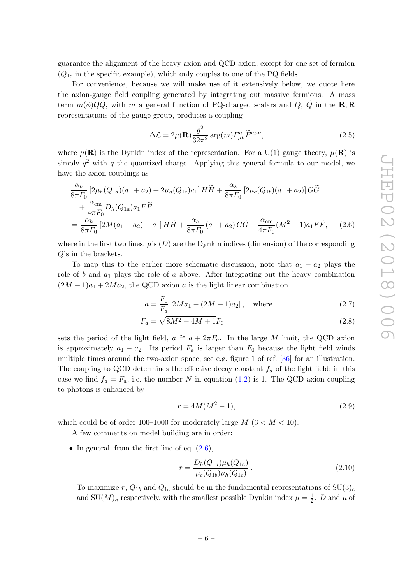guarantee the alignment of the heavy axion and QCD axion, except for one set of fermion  $(Q_{1c}$  in the specific example), which only couples to one of the PQ fields.

For convenience, because we will make use of it extensively below, we quote here the axion-gauge field coupling generated by integrating out massive fermions. A mass term  $m(\phi)QQ$ , with m a general function of PQ-charged scalars and Q,  $\tilde{Q}$  in the **R**,  $\overline{R}$ representations of the gauge group, produces a coupling

<span id="page-6-0"></span>
$$
\Delta \mathcal{L} = 2\mu(\mathbf{R}) \frac{g^2}{32\pi^2} \arg(m) F^a_{\mu\nu} \widetilde{F}^{a\mu\nu},
$$
\n(2.5)

where  $\mu(\mathbf{R})$  is the Dynkin index of the representation. For a U(1) gauge theory,  $\mu(\mathbf{R})$  is simply  $q^2$  with q the quantized charge. Applying this general formula to our model, we have the axion couplings as

$$
\frac{\alpha_h}{8\pi F_0} \left[ 2\mu_h(Q_{1a})(a_1 + a_2) + 2\mu_h(Q_{1c})a_1 \right] H \tilde{H} + \frac{\alpha_s}{8\pi F_0} \left[ 2\mu_c(Q_{1b})(a_1 + a_2) \right] G \tilde{G} \n+ \frac{\alpha_{em}}{4\pi F_0} D_h(Q_{1a})a_1 F \tilde{F} \n= \frac{\alpha_h}{8\pi F_0} \left[ 2M(a_1 + a_2) + a_1 \right] H \tilde{H} + \frac{\alpha_s}{8\pi F_0} \left( a_1 + a_2 \right) G \tilde{G} + \frac{\alpha_{em}}{4\pi F_0} (M^2 - 1) a_1 F \tilde{F}, \quad (2.6)
$$

where in the first two lines,  $\mu$ 's (D) are the Dynkin indices (dimension) of the corresponding Q's in the brackets.

To map this to the earlier more schematic discussion, note that  $a_1 + a_2$  plays the role of b and  $a_1$  plays the role of a above. After integrating out the heavy combination  $(2M + 1)a_1 + 2Ma_2$ , the QCD axion a is the light linear combination

$$
a = \frac{F_0}{F_a} \left[ 2Ma_1 - (2M + 1)a_2 \right], \quad \text{where} \tag{2.7}
$$

$$
F_a = \sqrt{8M^2 + 4M + 1}F_0
$$
\n(2.8)

sets the period of the light field,  $a \approx a + 2\pi F_a$ . In the large M limit, the QCD axion is approximately  $a_1 - a_2$ . Its period  $F_a$  is larger than  $F_0$  because the light field winds multiple times around the two-axion space; see e.g. figure 1 of ref. [\[36\]](#page-22-1) for an illustration. The coupling to QCD determines the effective decay constant  $f_a$  of the light field; in this case we find  $f_a = F_a$ , i.e. the number N in equation [\(1.2\)](#page-2-3) is 1. The QCD axion coupling to photons is enhanced by

$$
r = 4M(M^2 - 1),
$$
\n(2.9)

which could be of order 100–1000 for moderately large  $M$  (3 <  $M$  < 10).

A few comments on model building are in order:

• In general, from the first line of eq.  $(2.6)$ ,

$$
r = \frac{D_h(Q_{1a})\mu_h(Q_{1a})}{\mu_c(Q_{1b})\mu_h(Q_{1c})}.
$$
\n(2.10)

To maximize r,  $Q_{1b}$  and  $Q_{1c}$  should be in the fundamental representations of  $SU(3)_c$ and  $SU(M)_h$  respectively, with the smallest possible Dynkin index  $\mu = \frac{1}{2}$  $\frac{1}{2}$ . D and  $\mu$  of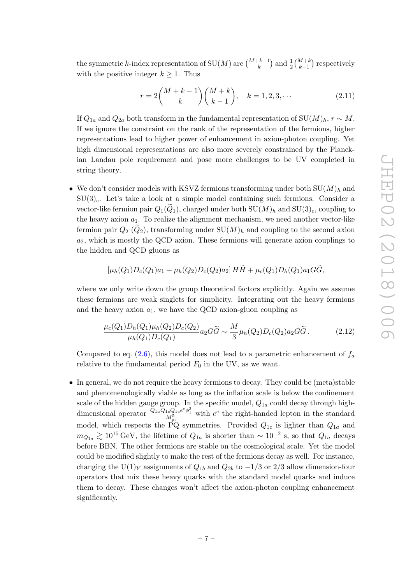the symmetric k-index representation of  $\text{SU}(M)$  are  $\binom{M+k-1}{k}$  and  $\frac{1}{2} \binom{M+k}{k-1}$  respectively with the positive integer  $k \geq 1$ . Thus

$$
r = 2\binom{M+k-1}{k}\binom{M+k}{k-1}, \quad k = 1, 2, 3, \cdots \tag{2.11}
$$

If  $Q_{1a}$  and  $Q_{2a}$  both transform in the fundamental representation of SU $(M)_h$ ,  $r \sim M$ . If we ignore the constraint on the rank of the representation of the fermions, higher representations lead to higher power of enhancement in axion-photon coupling. Yet high dimensional representations are also more severely constrained by the Planckian Landau pole requirement and pose more challenges to be UV completed in string theory.

• We don't consider models with KSVZ fermions transforming under both  $SU(M)_h$  and  $SU(3)<sub>c</sub>$ . Let's take a look at a simple model containing such fermions. Consider a vector-like fermion pair  $Q_1(Q_1)$ , charged under both  $SU(M)_h$  and  $SU(3)_c$ , coupling to the heavy axion  $a_1$ . To realize the alignment mechanism, we need another vector-like fermion pair  $Q_2$  ( $Q_2$ ), transforming under  $SU(M)_h$  and coupling to the second axion  $a_2$ , which is mostly the QCD axion. These fermions will generate axion couplings to the hidden and QCD gluons as

$$
\left[\mu_h(Q_1)D_c(Q_1)a_1+\mu_h(Q_2)D_c(Q_2)a_2\right]HH+\mu_c(Q_1)D_h(Q_1)a_1GG,
$$

where we only write down the group theoretical factors explicitly. Again we assume these fermions are weak singlets for simplicity. Integrating out the heavy fermions and the heavy axion  $a_1$ , we have the QCD axion-gluon coupling as

$$
\frac{\mu_c(Q_1)D_h(Q_1)\mu_h(Q_2)D_c(Q_2)}{\mu_h(Q_1)D_c(Q_1)}a_2G\tilde{G} \sim \frac{M}{3}\mu_h(Q_2)D_c(Q_2)a_2G\tilde{G}.
$$
 (2.12)

Compared to eq. [\(2.6\)](#page-6-0), this model does not lead to a parametric enhancement of  $f_a$ relative to the fundamental period  $F_0$  in the UV, as we want.

• In general, we do not require the heavy fermions to decay. They could be (meta)stable and phenomenologically viable as long as the inflation scale is below the confinement scale of the hidden gauge group. In the specific model,  $Q_{1a}$  could decay through highdimensional operator  $\frac{\tilde{Q}_{1a}\tilde{Q}_{1c}Q_{1c}^{\dagger}e^{c}\phi_{1}^{3}}{M_{\text{pl}}^{5}}$  with  $e^{c}$  the right-handed lepton in the standard model, which respects the PQ symmetries. Provided  $Q_{1c}$  is lighter than  $Q_{1a}$  and  $m_{Q_{1a}} \gtrsim 10^{15} \text{ GeV}$ , the lifetime of  $Q_{1a}$  is shorter than  $\sim 10^{-2}$  s, so that  $Q_{1a}$  decays before BBN. The other fermions are stable on the cosmological scale. Yet the model could be modified slightly to make the rest of the fermions decay as well. For instance, changing the U(1)<sub>Y</sub> assignments of  $Q_{1b}$  and  $Q_{2b}$  to  $-1/3$  or 2/3 allow dimension-four operators that mix these heavy quarks with the standard model quarks and induce them to decay. These changes won't affect the axion-photon coupling enhancement significantly.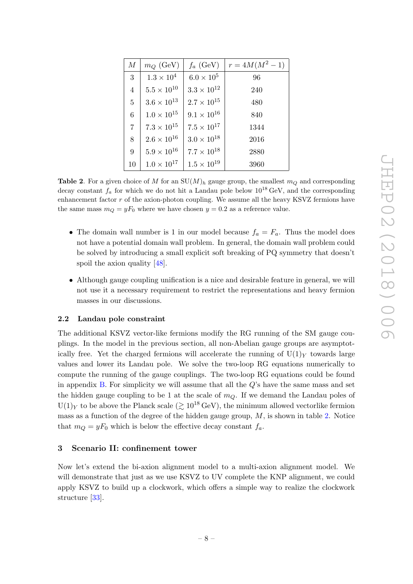| М               | $m_Q$ (GeV)          | $f_a$ (GeV)          | $r = 4M(M^2 - 1)$ |
|-----------------|----------------------|----------------------|-------------------|
| 3               | $1.3 \times 10^4$    | $6.0 \times 10^5$    | 96                |
| $\overline{4}$  | $5.5 \times 10^{10}$ | $3.3 \times 10^{12}$ | 240               |
| $\overline{5}$  | $3.6 \times 10^{13}$ | $2.7 \times 10^{15}$ | 480               |
| $6\phantom{.}6$ | $1.0 \times 10^{15}$ | $9.1 \times 10^{16}$ | 840               |
| $\overline{7}$  | $7.3 \times 10^{15}$ | $7.5 \times 10^{17}$ | 1344              |
| 8               | $2.6 \times 10^{16}$ | $3.0 \times 10^{18}$ | 2016              |
| 9               | $5.9 \times 10^{16}$ | $7.7 \times 10^{18}$ | 2880              |
| 10              | $1.0 \times 10^{17}$ | $1.5 \times 10^{19}$ | 3960              |

<span id="page-8-2"></span>**Table 2.** For a given choice of M for an  $SU(M)_h$  gauge group, the smallest  $m_Q$  and corresponding decay constant  $f_a$  for which we do not hit a Landau pole below  $10^{18} \text{ GeV}$ , and the corresponding enhancement factor  $r$  of the axion-photon coupling. We assume all the heavy KSVZ fermions have the same mass  $m_Q = yF_0$  where we have chosen  $y = 0.2$  as a reference value.

- The domain wall number is 1 in our model because  $f_a = F_a$ . Thus the model does not have a potential domain wall problem. In general, the domain wall problem could be solved by introducing a small explicit soft breaking of PQ symmetry that doesn't spoil the axion quality [\[48\]](#page-22-10).
- Although gauge coupling unification is a nice and desirable feature in general, we will not use it a necessary requirement to restrict the representations and heavy fermion masses in our discussions.

#### <span id="page-8-0"></span>2.2 Landau pole constraint

The additional KSVZ vector-like fermions modify the RG running of the SM gauge couplings. In the model in the previous section, all non-Abelian gauge groups are asymptotically free. Yet the charged fermions will accelerate the running of  $U(1)_Y$  towards large values and lower its Landau pole. We solve the two-loop RG equations numerically to compute the running of the gauge couplings. The two-loop RG equations could be found in appendix  $B$ . For simplicity we will assume that all the  $Q$ 's have the same mass and set the hidden gauge coupling to be 1 at the scale of  $m_Q$ . If we demand the Landau poles of  $U(1)_Y$  to be above the Planck scale  $(\geq 10^{18} \text{ GeV})$ , the minimum allowed vectorlike fermion mass as a function of the degree of the hidden gauge group,  $M$ , is shown in table [2.](#page-8-2) Notice that  $m_Q = yF_0$  which is below the effective decay constant  $f_a$ .

### <span id="page-8-1"></span>3 Scenario II: confinement tower

Now let's extend the bi-axion alignment model to a multi-axion alignment model. We will demonstrate that just as we use KSVZ to UV complete the KNP alignment, we could apply KSVZ to build up a clockwork, which offers a simple way to realize the clockwork structure [\[33\]](#page-21-13).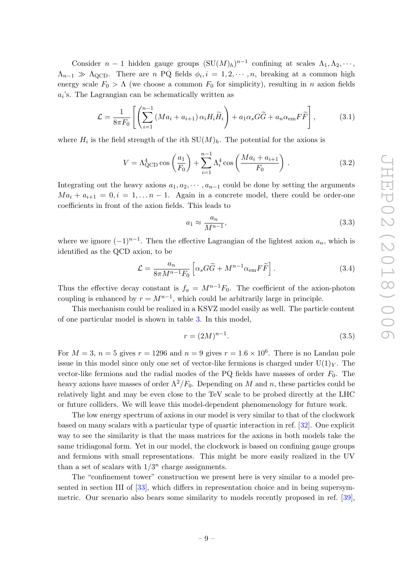Consider  $n-1$  hidden gauge groups  $(SU(M)_h)^{n-1}$  confining at scales  $\Lambda_1, \Lambda_2, \cdots$ ,  $\Lambda_{n-1} \gg \Lambda_{\text{QCD}}$ . There are n PQ fields  $\phi_i, i = 1, 2, \cdots, n$ , breaking at a common high energy scale  $F_0 > \Lambda$  (we choose a common  $F_0$  for simplicity), resulting in n axion fields  $a_i$ 's. The Lagrangian can be schematically written as

$$
\mathcal{L} = \frac{1}{8\pi F_0} \left[ \left( \sum_{i=1}^{n-1} \left( Ma_i + a_{i+1} \right) \alpha_i H_i \widetilde{H}_i \right) + a_1 \alpha_s G \widetilde{G} + a_n \alpha_{\text{em}} F \widetilde{F} \right],\tag{3.1}
$$

where  $H_i$  is the field strength of the *i*th  $SU(M)_h$ . The potential for the axions is

$$
V = \Lambda_{\text{QCD}}^4 \cos\left(\frac{a_1}{F_0}\right) + \sum_{i=1}^{n-1} \Lambda_i^4 \cos\left(\frac{Ma_i + a_{i+1}}{F_0}\right). \tag{3.2}
$$

Integrating out the heavy axions  $a_1, a_2, \dots, a_{n-1}$  could be done by setting the arguments  $Ma_i + a_{i+1} = 0, i = 1, \ldots n-1$ . Again in a concrete model, there could be order-one coefficients in front of the axion fields. This leads to

$$
a_1 \approx \frac{a_n}{M^{n-1}},\tag{3.3}
$$

where we ignore  $(-1)^{n-1}$ . Then the effective Lagrangian of the lightest axion  $a_n$ , which is identified as the QCD axion, to be

$$
\mathcal{L} = \frac{a_n}{8\pi M^{n-1} F_0} \left[ \alpha_s G \tilde{G} + M^{n-1} \alpha_{\rm em} F \tilde{F} \right]. \tag{3.4}
$$

Thus the effective decay constant is  $f_a = M^{n-1}F_0$ . The coefficient of the axion-photon coupling is enhanced by  $r = M^{n-1}$ , which could be arbitrarily large in principle.

This mechanism could be realized in a KSVZ model easily as well. The particle content of one particular model is shown in table [3.](#page-10-1) In this model,

$$
r = (2M)^{n-1}.
$$
\n(3.5)

For  $M = 3$ ,  $n = 5$  gives  $r = 1296$  and  $n = 9$  gives  $r = 1.6 \times 10^6$ . There is no Landau pole issue in this model since only one set of vector-like fermions is charged under  $U(1)<sub>Y</sub>$ . The vector-like fermions and the radial modes of the PQ fields have masses of order  $F_0$ . The heavy axions have masses of order  $\Lambda^2/F_0$ . Depending on M and n, these particles could be relatively light and may be even close to the TeV scale to be probed directly at the LHC or future colliders. We will leave this model-dependent phenomenology for future work.

The low energy spectrum of axions in our model is very similar to that of the clockwork based on many scalars with a particular type of quartic interaction in ref. [\[32\]](#page-21-12). One explicit way to see the similarity is that the mass matrices for the axions in both models take the same tridiagonal form. Yet in our model, the clockwork is based on confining gauge groups and fermions with small representations. This might be more easily realized in the UV than a set of scalars with  $1/3^n$  charge assignments.

The "confinement tower" construction we present here is very similar to a model presented in section III of [\[33\]](#page-21-13), which differs in representation choice and in being supersymmetric. Our scenario also bears some similarity to models recently proposed in ref. [\[39\]](#page-22-4),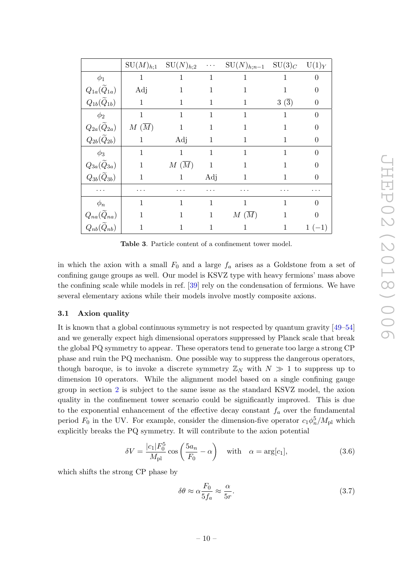|                              | $\mathrm{SU}(M)_{h;1}$ | $SU(N)_{h;2}$     | $\ddotsc$    | $SU(N)_{h;n-1}$   | $\mathrm{SU}(3)_C$  | $U(1)_Y$       |
|------------------------------|------------------------|-------------------|--------------|-------------------|---------------------|----------------|
| $\phi_1$                     | $\mathbf{1}$           | 1                 | 1            | 1                 | 1                   | $\overline{0}$ |
| $Q_{1a}(\widetilde{Q}_{1a})$ | Adj                    | 1                 | 1            | 1                 | 1                   | $\overline{0}$ |
| $Q_{1b}(\widetilde{Q}_{1b})$ | $\mathbf{1}$           | 1                 | 1            | 1                 | $3\ (\overline{3})$ | $\theta$       |
| $\phi_2$                     | $\mathbf{1}$           | 1                 | 1            | 1                 | 1                   | $\overline{0}$ |
| $Q_{2a}(\widetilde{Q}_{2a})$ | $M(\overline{M})$      | $\mathbf{1}$      | $\mathbf 1$  | 1                 | 1                   | $\theta$       |
| $Q_{2b}(\widetilde{Q}_{2b})$ | $\mathbf 1$            | Adj               | $\mathbf{1}$ | 1                 | 1                   | $\theta$       |
| $\phi_3$                     | $\mathbf{1}$           | $\mathbf{1}$      | 1            | 1                 | 1                   | $\theta$       |
| $Q_{3a}(\widetilde{Q}_{3a})$ | $\mathbf{1}$           | $M(\overline{M})$ | $\mathbf{1}$ | 1                 |                     | $\theta$       |
| $Q_{3b}(\widetilde{Q}_{3b})$ | 1                      | 1                 | Adj          | 1                 | 1                   | $\theta$       |
| .                            | .                      | .                 | $\cdots$     | .                 | .                   | .              |
| $\phi_n$                     | 1                      | 1                 | 1            | $\mathbf 1$       | 1                   | $\overline{0}$ |
| $Q_{na}(\widetilde{Q}_{na})$ | $\mathbf{1}$           | 1                 | 1            | $M(\overline{M})$ | 1                   | $\theta$       |
| $Q_{nb}(Q_{nb})$             | 1                      | 1                 | 1            | $\mathbf 1$       | 1                   | $1(-1)$        |

<span id="page-10-1"></span>Table 3. Particle content of a confinement tower model.

in which the axion with a small  $F_0$  and a large  $f_a$  arises as a Goldstone from a set of confining gauge groups as well. Our model is KSVZ type with heavy fermions' mass above the confining scale while models in ref. [\[39\]](#page-22-4) rely on the condensation of fermions. We have several elementary axions while their models involve mostly composite axions.

## <span id="page-10-0"></span>3.1 Axion quality

It is known that a global continuous symmetry is not respected by quantum gravity [\[49–](#page-22-11)[54\]](#page-22-12) and we generally expect high dimensional operators suppressed by Planck scale that break the global PQ symmetry to appear. These operators tend to generate too large a strong CP phase and ruin the PQ mechanism. One possible way to suppress the dangerous operators, though baroque, is to invoke a discrete symmetry  $\mathbb{Z}_N$  with  $N \gg 1$  to suppress up to dimension 10 operators. While the alignment model based on a single confining gauge group in section [2](#page-4-0) is subject to the same issue as the standard KSVZ model, the axion quality in the confinement tower scenario could be significantly improved. This is due to the exponential enhancement of the effective decay constant  $f_a$  over the fundamental period  $F_0$  in the UV. For example, consider the dimension-five operator  $c_1\phi_n^5/M_{\text{pl}}$  which explicitly breaks the PQ symmetry. It will contribute to the axion potential

$$
\delta V = \frac{|c_1| F_0^5}{M_{\text{pl}}} \cos \left( \frac{5a_n}{F_0} - \alpha \right) \quad \text{with} \quad \alpha = \arg[c_1], \tag{3.6}
$$

which shifts the strong CP phase by

$$
\delta\theta \approx \alpha \frac{F_0}{5f_a} \approx \frac{\alpha}{5r}.\tag{3.7}
$$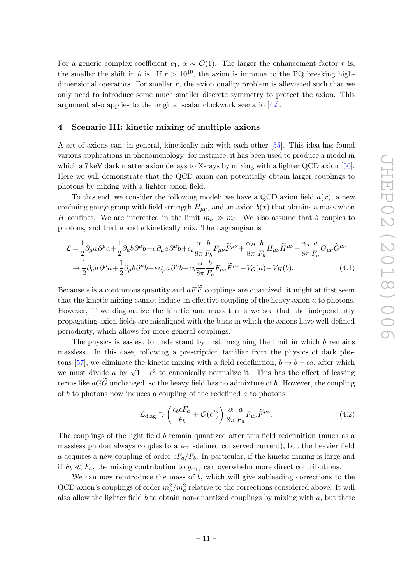For a generic complex coefficient  $c_1, \alpha \sim \mathcal{O}(1)$ . The larger the enhancement factor r is, the smaller the shift in  $\theta$  is. If  $r > 10^{10}$ , the axion is immune to the PQ breaking highdimensional operators. For smaller  $r$ , the axion quality problem is alleviated such that we only need to introduce some much smaller discrete symmetry to protect the axion. This argument also applies to the original scalar clockwork scenario [\[42\]](#page-22-7).

## <span id="page-11-0"></span>4 Scenario III: kinetic mixing of multiple axions

A set of axions can, in general, kinetically mix with each other [\[55\]](#page-23-0). This idea has found various applications in phenomenology; for instance, it has been used to produce a model in which a 7 keV dark matter axion decays to X-rays by mixing with a lighter QCD axion [\[56\]](#page-23-1). Here we will demonstrate that the QCD axion can potentially obtain larger couplings to photons by mixing with a lighter axion field.

To this end, we consider the following model: we have a QCD axion field  $a(x)$ , a new confining gauge group with field strength  $H_{\mu\nu}$ , and an axion  $b(x)$  that obtains a mass when H confines. We are interested in the limit  $m_a \gg m_b$ . We also assume that b couples to photons, and that a and b kinetically mix. The Lagrangian is

$$
\mathcal{L} = \frac{1}{2} \partial_{\mu} a \partial^{\mu} a + \frac{1}{2} \partial_{\mu} b \partial^{\mu} b + \epsilon \partial_{\mu} a \partial^{\mu} b + c_{b} \frac{\alpha}{8\pi} \frac{b}{F_{b}} F_{\mu\nu} \widetilde{F}^{\mu\nu} + \frac{\alpha_{H}}{8\pi} \frac{b}{F_{b}} H_{\mu\nu} \widetilde{H}^{\mu\nu} + \frac{\alpha_{s}}{8\pi} \frac{a}{F_{a}} G_{\mu\nu} \widetilde{G}^{\mu\nu} \rightarrow \frac{1}{2} \partial_{\mu} a \partial^{\mu} a + \frac{1}{2} \partial_{\mu} b \partial^{\mu} b + \epsilon \partial_{\mu} a \partial^{\mu} b + c_{b} \frac{\alpha}{8\pi} \frac{b}{F_{b}} F_{\mu\nu} \widetilde{F}^{\mu\nu} - V_{G}(a) - V_{H}(b).
$$
\n(4.1)

Because  $\epsilon$  is a continuous quantity and  $aF\widetilde{F}$  couplings are quantized, it might at first seem that the kinetic mixing cannot induce an effective coupling of the heavy axion a to photons. However, if we diagonalize the kinetic and mass terms we see that the independently propagating axion fields are misaligned with the basis in which the axions have well-defined periodicity, which allows for more general couplings.

The physics is easiest to understand by first imagining the limit in which  $b$  remains massless. In this case, following a prescription familiar from the physics of dark pho-tons [\[57\]](#page-23-2), we eliminate the kinetic mixing with a field redefinition,  $b \rightarrow b - \epsilon a$ , after which we must divide a by  $\sqrt{1-\epsilon^2}$  to canonically normalize it. This has the effect of leaving<br>we must divide a by  $\sqrt{1-\epsilon^2}$  to canonically normalize it. This has the effect of leaving terms like  $aG\widetilde{G}$  unchanged, so the heavy field has no admixture of b. However, the coupling of  $b$  to photons now induces a coupling of the redefined  $a$  to photons:

$$
\mathcal{L}_{\text{diag}} \supset \left( \frac{c_b \epsilon F_a}{F_b} + \mathcal{O}(\epsilon^2) \right) \frac{\alpha}{8\pi} \frac{a}{F_a} F_{\mu\nu} \widetilde{F}^{\mu\nu}.
$$
 (4.2)

The couplings of the light field b remain quantized after this field redefinition (much as a massless photon always couples to a well-defined conserved current), but the heavier field a acquires a new coupling of order  $\epsilon F_a/F_b$ . In particular, if the kinetic mixing is large and if  $F_b \ll F_a$ , the mixing contribution to  $g_{a\gamma\gamma}$  can overwhelm more direct contributions.

We can now reintroduce the mass of  $b$ , which will give subleading corrections to the QCD axion's couplings of order  $m_b^2/m_a^2$  relative to the corrections considered above. It will also allow the lighter field  $b$  to obtain non-quantized couplings by mixing with  $a$ , but these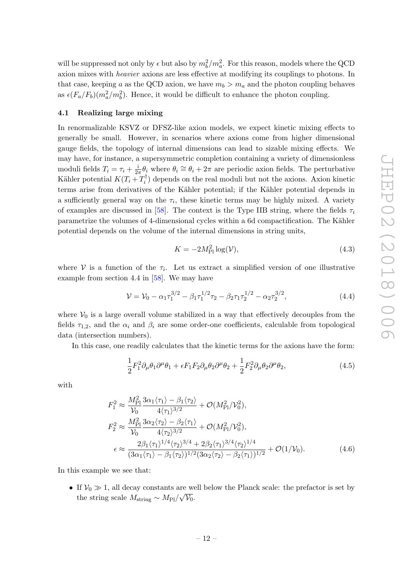will be suppressed not only by  $\epsilon$  but also by  $m_b^2/m_a^2$ . For this reason, models where the QCD axion mixes with heavier axions are less effective at modifying its couplings to photons. In that case, keeping a as the QCD axion, we have  $m_b > m_a$  and the photon coupling behaves as  $\epsilon (F_a/F_b)(m_a^2/m_b^2)$ . Hence, it would be difficult to enhance the photon coupling.

## <span id="page-12-0"></span>4.1 Realizing large mixing

In renormalizable KSVZ or DFSZ-like axion models, we expect kinetic mixing effects to generally be small. However, in scenarios where axions come from higher dimensional gauge fields, the topology of internal dimensions can lead to sizable mixing effects. We may have, for instance, a supersymmetric completion containing a variety of dimensionless moduli fields  $T_i = \tau_i + \frac{1}{2i}$  $\frac{1}{2\pi}\theta_i$  where  $\theta_i \cong \theta_i + 2\pi$  are periodic axion fields. The perturbative Kähler potential  $K(T_i + T_i^{\dagger})$  $\mathbf{z}_i^{\text{T}}$  depends on the real moduli but not the axions. Axion kinetic terms arise from derivatives of the Kähler potential; if the Kähler potential depends in a sufficiently general way on the  $\tau_i$ , these kinetic terms may be highly mixed. A variety of examples are discussed in [\[58\]](#page-23-3). The context is the Type IIB string, where the fields  $\tau_i$ parametrize the volumes of 4-dimensional cycles within a 6d compactification. The Kähler potential depends on the volume of the internal dimensions in string units,

$$
K = -2M_{\rm Pl}^2 \log(\mathcal{V}),\tag{4.3}
$$

where  $V$  is a function of the  $\tau_i$ . Let us extract a simplified version of one illustrative example from section 4.4 in [\[58\]](#page-23-3). We may have

$$
\mathcal{V} = \mathcal{V}_0 - \alpha_1 \tau_1^{3/2} - \beta_1 \tau_1^{1/2} \tau_2 - \beta_2 \tau_1 \tau_2^{1/2} - \alpha_2 \tau_2^{3/2}, \tag{4.4}
$$

where  $V_0$  is a large overall volume stabilized in a way that effectively decouples from the fields  $\tau_{1,2}$ , and the  $\alpha_i$  and  $\beta_i$  are some order-one coefficients, calculable from topological data (intersection numbers).

In this case, one readily calculates that the kinetic terms for the axions have the form:

$$
\frac{1}{2}F_1^2 \partial_\mu \theta_1 \partial^\mu \theta_1 + \epsilon F_1 F_2 \partial_\mu \theta_2 \partial^\mu \theta_2 + \frac{1}{2}F_2^2 \partial_\mu \theta_2 \partial^\mu \theta_2, \tag{4.5}
$$

with

$$
F_1^2 \approx \frac{M_{\rm Pl}^2}{\mathcal{V}_0} \frac{3\alpha_1 \langle \tau_1 \rangle - \beta_1 \langle \tau_2 \rangle}{4 \langle \tau_1 \rangle^{3/2}} + \mathcal{O}(M_{\rm Pl}^2/\mathcal{V}_0^2),
$$
  
\n
$$
F_2^2 \approx \frac{M_{\rm Pl}^2}{\mathcal{V}_0} \frac{3\alpha_2 \langle \tau_2 \rangle - \beta_2 \langle \tau_1 \rangle}{4 \langle \tau_2 \rangle^{3/2}} + \mathcal{O}(M_{\rm Pl}^2/\mathcal{V}_0^2),
$$
  
\n
$$
\epsilon \approx \frac{2\beta_1 \langle \tau_1 \rangle^{1/4} \langle \tau_2 \rangle^{3/4} + 2\beta_2 \langle \tau_1 \rangle^{3/4} \langle \tau_2 \rangle^{1/4}}{(3\alpha_1 \langle \tau_1 \rangle - \beta_1 \langle \tau_2 \rangle)^{1/2} (3\alpha_2 \langle \tau_2 \rangle - \beta_2 \langle \tau_1 \rangle)^{1/2}} + \mathcal{O}(1/\mathcal{V}_0).
$$
 (4.6)

In this example we see that:

• If  $V_0 \gg 1$ , all decay constants are well below the Planck scale: the prefactor is set by the string scale  $M_{\text{string}} \sim M_{\text{Pl}}/\sqrt{\mathcal{V}_0}$ .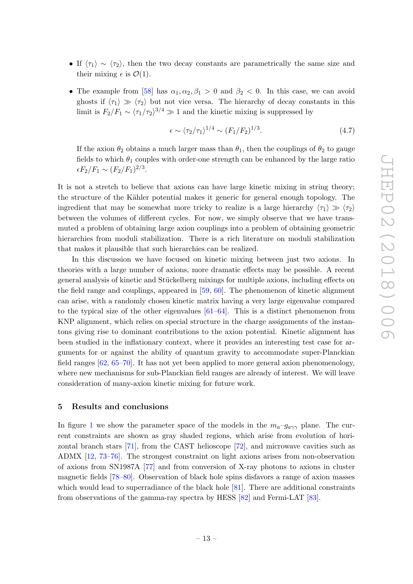- If  $\langle \tau_1 \rangle \sim \langle \tau_2 \rangle$ , then the two decay constants are parametrically the same size and their mixing  $\epsilon$  is  $\mathcal{O}(1)$ .
- The example from [\[58\]](#page-23-3) has  $\alpha_1, \alpha_2, \beta_1 > 0$  and  $\beta_2 < 0$ . In this case, we can avoid ghosts if  $\langle \tau_1 \rangle \gg \langle \tau_2 \rangle$  but not vice versa. The hierarchy of decay constants in this limit is  $F_2/F_1 \sim \langle \tau_1/\tau_2 \rangle^{3/4} \gg 1$  and the kinetic mixing is suppressed by

<span id="page-13-1"></span>
$$
\epsilon \sim \langle \tau_2/\tau_1 \rangle^{1/4} \sim (F_1/F_2)^{1/3}.\tag{4.7}
$$

If the axion  $\theta_2$  obtains a much larger mass than  $\theta_1$ , then the couplings of  $\theta_2$  to gauge fields to which  $\theta_1$  couples with order-one strength can be enhanced by the large ratio  $\epsilon F_2/F_1 \sim (F_2/F_1)^{2/3}.$ 

It is not a stretch to believe that axions can have large kinetic mixing in string theory; the structure of the Kähler potential makes it generic for general enough topology. The ingredient that may be somewhat more tricky to realize is a large hierarchy  $\langle \tau_1 \rangle \gg \langle \tau_2 \rangle$ between the volumes of different cycles. For now, we simply observe that we have transmuted a problem of obtaining large axion couplings into a problem of obtaining geometric hierarchies from moduli stabilization. There is a rich literature on moduli stabilization that makes it plausible that such hierarchies can be realized.

In this discussion we have focused on kinetic mixing between just two axions. In theories with a large number of axions, more dramatic effects may be possible. A recent general analysis of kinetic and Stückelberg mixings for multiple axions, including effects on the field range and couplings, appeared in [\[59,](#page-23-4) [60\]](#page-23-5). The phenomenon of kinetic alignment can arise, with a randomly chosen kinetic matrix having a very large eigenvalue compared to the typical size of the other eigenvalues  $[61–64]$  $[61–64]$ . This is a distinct phenomenon from KNP alignment, which relies on special structure in the charge assignments of the instantons giving rise to dominant contributions to the axion potential. Kinetic alignment has been studied in the inflationary context, where it provides an interesting test case for arguments for or against the ability of quantum gravity to accommodate super-Planckian field ranges [\[62,](#page-23-8) [65–](#page-23-9)[70\]](#page-23-10). It has not yet been applied to more general axion phenomenology, where new mechanisms for sub-Planckian field ranges are already of interest. We will leave consideration of many-axion kinetic mixing for future work.

#### <span id="page-13-0"></span>5 Results and conclusions

In figure [1](#page-14-0) we show the parameter space of the models in the  $m_a-g_{a\gamma\gamma}$  plane. The current constraints are shown as gray shaded regions, which arise from evolution of horizontal branch stars [\[71\]](#page-23-11), from the CAST helioscope [\[72\]](#page-23-12), and microwave cavities such as ADMX [\[12,](#page-20-4) [73–](#page-23-13)[76\]](#page-24-0). The strongest constraint on light axions arises from non-observation of axions from SN1987A [\[77\]](#page-24-1) and from conversion of X-ray photons to axions in cluster magnetic fields [\[78–](#page-24-2)[80\]](#page-24-3). Observation of black hole spins disfavors a range of axion masses which would lead to superradiance of the black hole [\[81\]](#page-24-4). There are additional constraints from observations of the gamma-ray spectra by HESS [\[82\]](#page-24-5) and Fermi-LAT [\[83\]](#page-24-6).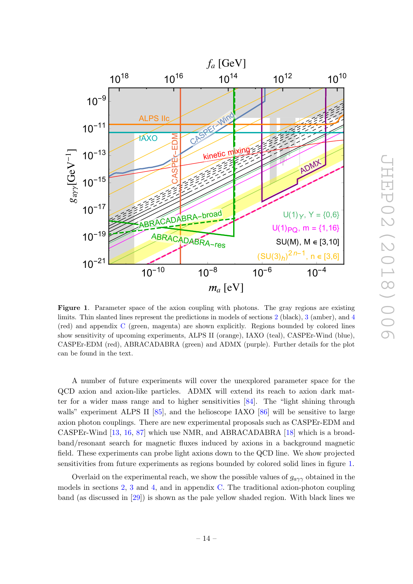

<span id="page-14-0"></span>Figure 1. Parameter space of the axion coupling with photons. The gray regions are existing limits. Thin slanted lines represent the predictions in models of sections [2](#page-4-0) (black), [3](#page-8-1) (amber), and [4](#page-11-0) (red) and appendix [C](#page-18-0) (green, magenta) are shown explicitly. Regions bounded by colored lines show sensitivity of upcoming experiments, ALPS II (orange), IAXO (teal), CASPEr-Wind (blue), CASPEr-EDM (red), ABRACADABRA (green) and ADMX (purple). Further details for the plot can be found in the text.

A number of future experiments will cover the unexplored parameter space for the QCD axion and axion-like particles. ADMX will extend its reach to axion dark matter for a wider mass range and to higher sensitivities [\[84\]](#page-24-7). The "light shining through walls" experiment ALPS II [\[85\]](#page-24-8), and the helioscope IAXO [\[86\]](#page-24-9) will be sensitive to large axion photon couplings. There are new experimental proposals such as CASPEr-EDM and CASPEr-Wind [\[13,](#page-20-8) [16,](#page-21-15) [87\]](#page-24-10) which use NMR, and ABRACADABRA [\[18\]](#page-21-0) which is a broadband/resonant search for magnetic fluxes induced by axions in a background magnetic field. These experiments can probe light axions down to the QCD line. We show projected sensitivities from future experiments as regions bounded by colored solid lines in figure [1.](#page-14-0)

Overlaid on the experimental reach, we show the possible values of  $g_{a\gamma\gamma}$  obtained in the models in sections [2,](#page-4-0) [3](#page-8-1) and [4,](#page-11-0) and in appendix [C.](#page-18-0) The traditional axion-photon coupling band (as discussed in [\[29\]](#page-21-6)) is shown as the pale yellow shaded region. With black lines we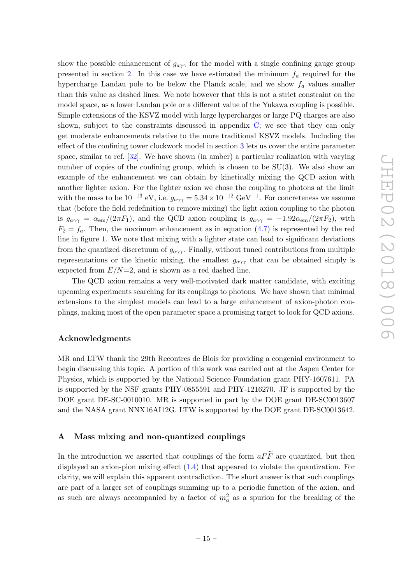show the possible enhancement of  $g_{a\gamma\gamma}$  for the model with a single confining gauge group presented in section [2.](#page-4-0) In this case we have estimated the minimum  $f_a$  required for the hypercharge Landau pole to be below the Planck scale, and we show  $f_a$  values smaller than this value as dashed lines. We note however that this is not a strict constraint on the model space, as a lower Landau pole or a different value of the Yukawa coupling is possible. Simple extensions of the KSVZ model with large hypercharges or large PQ charges are also shown, subject to the constraints discussed in appendix [C;](#page-18-0) we see that they can only get moderate enhancements relative to the more traditional KSVZ models. Including the effect of the confining tower clockwork model in section [3](#page-8-1) lets us cover the entire parameter space, similar to ref. [\[32\]](#page-21-12). We have shown (in amber) a particular realization with varying number of copies of the confining group, which is chosen to be  $SU(3)$ . We also show an example of the enhancement we can obtain by kinetically mixing the QCD axion with another lighter axion. For the lighter axion we chose the coupling to photons at the limit with the mass to be  $10^{-13}$  eV, i.e.  $g_{a\gamma\gamma} = 5.34 \times 10^{-12}$  GeV<sup>-1</sup>. For concreteness we assume that (before the field redefinition to remove mixing) the light axion coupling to the photon is  $g_{a\gamma\gamma} = \alpha_{em}/(2\pi F_1)$ , and the QCD axion coupling is  $g_{a\gamma\gamma} = -1.92\alpha_{em}/(2\pi F_2)$ , with  $F_2 = f_a$ . Then, the maximum enhancement as in equation [\(4.7\)](#page-13-1) is represented by the red line in figure [1.](#page-14-0) We note that mixing with a lighter state can lead to significant deviations from the quantized discretuum of  $g_{a\gamma\gamma}$ . Finally, without tuned contributions from multiple representations or the kinetic mixing, the smallest  $g_{a\gamma\gamma}$  that can be obtained simply is expected from  $E/N=2$ , and is shown as a red dashed line.

The QCD axion remains a very well-motivated dark matter candidate, with exciting upcoming experiments searching for its couplings to photons. We have shown that minimal extensions to the simplest models can lead to a large enhancement of axion-photon couplings, making most of the open parameter space a promising target to look for QCD axions.

## Acknowledgments

MR and LTW thank the 29th Recontres de Blois for providing a congenial environment to begin discussing this topic. A portion of this work was carried out at the Aspen Center for Physics, which is supported by the National Science Foundation grant PHY-1607611. PA is supported by the NSF grants PHY-0855591 and PHY-1216270. JF is supported by the DOE grant DE-SC-0010010. MR is supported in part by the DOE grant DE-SC0013607 and the NASA grant NNX16AI12G. LTW is supported by the DOE grant DE-SC0013642.

# <span id="page-15-0"></span>A Mass mixing and non-quantized couplings

In the introduction we asserted that couplings of the form  $aF\widetilde{F}$  are quantized, but then displayed an axion-pion mixing effect [\(1.4\)](#page-2-2) that appeared to violate the quantization. For clarity, we will explain this apparent contradiction. The short answer is that such couplings are part of a larger set of couplings summing up to a periodic function of the axion, and as such are always accompanied by a factor of  $m_a^2$  as a spurion for the breaking of the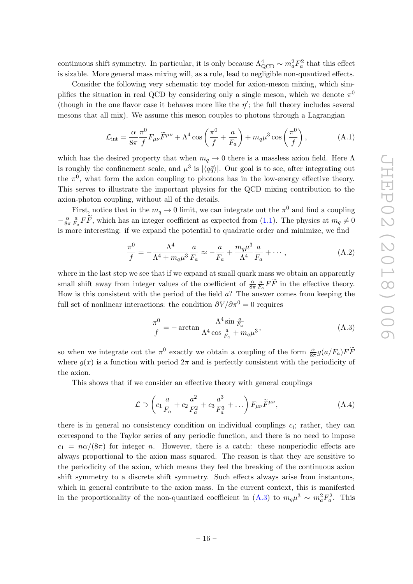continuous shift symmetry. In particular, it is only because  $\Lambda_{\rm QCD}^4 \sim m_a^2 F_a^2$  that this effect is sizable. More general mass mixing will, as a rule, lead to negligible non-quantized effects.

Consider the following very schematic toy model for axion-meson mixing, which simplifies the situation in real QCD by considering only a single meson, which we denote  $\pi^0$ (though in the one flavor case it behaves more like the  $\eta'$ ; the full theory includes several mesons that all mix). We assume this meson couples to photons through a Lagrangian

$$
\mathcal{L}_{\text{int}} = \frac{\alpha}{8\pi} \frac{\pi^0}{f} F_{\mu\nu} \widetilde{F}^{\mu\nu} + \Lambda^4 \cos\left(\frac{\pi^0}{f} + \frac{a}{F_a}\right) + m_q \mu^3 \cos\left(\frac{\pi^0}{f}\right),\tag{A.1}
$$

which has the desired property that when  $m_q \to 0$  there is a massless axion field. Here  $\Lambda$ is roughly the confinement scale, and  $\mu^3$  is  $|\langle q\bar{q}\rangle|$ . Our goal is to see, after integrating out the  $\pi^0$ , what form the axion coupling to photons has in the low-energy effective theory. This serves to illustrate the important physics for the QCD mixing contribution to the axion-photon coupling, without all of the details.

First, notice that in the  $m_q \to 0$  limit, we can integrate out the  $\pi^0$  and find a coupling  $-\frac{\alpha}{8\pi}$  $8\pi$ a  $\frac{a}{F_a} FF$ , which has an integer coefficient as expected from [\(1.1\)](#page-1-1). The physics at  $m_q \neq 0$ is more interesting: if we expand the potential to quadratic order and minimize, we find

$$
\frac{\pi^0}{f} = -\frac{\Lambda^4}{\Lambda^4 + m_q \mu^3} \frac{a}{F_a} \approx -\frac{a}{F_a} + \frac{m_q \mu^3}{\Lambda^4} \frac{a}{F_a} + \cdots,
$$
 (A.2)

where in the last step we see that if we expand at small quark mass we obtain an apparently small shift away from integer values of the coefficient of  $\frac{\alpha}{8\pi}$ a  $\frac{a}{F_a} FF$  in the effective theory. How is this consistent with the period of the field  $a$ ? The answer comes from keeping the full set of nonlinear interactions: the condition  $\partial V/\partial \pi^0 = 0$  requires

<span id="page-16-0"></span>
$$
\frac{\pi^0}{f} = -\arctan\frac{\Lambda^4 \sin\frac{a}{F_a}}{\Lambda^4 \cos\frac{a}{F_a} + m_q \mu^3},\tag{A.3}
$$

so when we integrate out the  $\pi^0$  exactly we obtain a coupling of the form  $\frac{\alpha}{8\pi}g(a/F_a)F\widetilde{F}$ where  $g(x)$  is a function with period  $2\pi$  and is perfectly consistent with the periodicity of the axion.

This shows that if we consider an effective theory with general couplings

$$
\mathcal{L} \supset \left( c_1 \frac{a}{F_a} + c_2 \frac{a^2}{F_a^2} + c_3 \frac{a^3}{F_a^3} + \dots \right) F_{\mu\nu} \widetilde{F}^{\mu\nu}, \tag{A.4}
$$

there is in general no consistency condition on individual couplings  $c_i$ ; rather, they can correspond to the Taylor series of any periodic function, and there is no need to impose  $c_1 = n\alpha/(8\pi)$  for integer n. However, there is a catch: these nonperiodic effects are always proportional to the axion mass squared. The reason is that they are sensitive to the periodicity of the axion, which means they feel the breaking of the continuous axion shift symmetry to a discrete shift symmetry. Such effects always arise from instantons, which in general contribute to the axion mass. In the current context, this is manifested in the proportionality of the non-quantized coefficient in  $(A.3)$  to  $m_q\mu^3 \sim m_a^2 F_a^2$ . This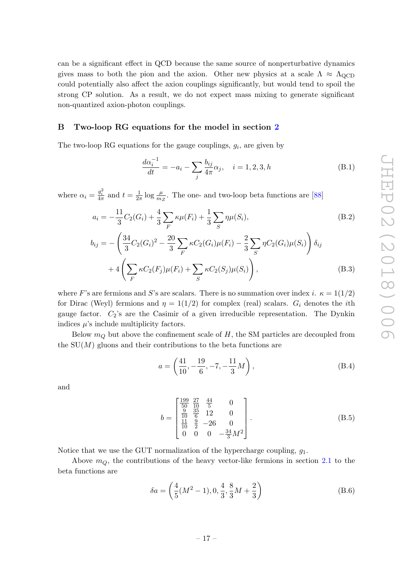can be a significant effect in QCD because the same source of nonperturbative dynamics gives mass to both the pion and the axion. Other new physics at a scale  $\Lambda \approx \Lambda_{\text{QCD}}$ could potentially also affect the axion couplings significantly, but would tend to spoil the strong CP solution. As a result, we do not expect mass mixing to generate significant non-quantized axion-photon couplings.

### <span id="page-17-0"></span>B Two-loop RG equations for the model in section [2](#page-4-0)

The two-loop RG equations for the gauge couplings,  $g_i$ , are given by

$$
\frac{d\alpha_i^{-1}}{dt} = -a_i - \sum_j \frac{b_{ij}}{4\pi} \alpha_j, \quad i = 1, 2, 3, h \tag{B.1}
$$

where  $\alpha_i = \frac{g_i^2}{4\pi}$  and  $t = \frac{1}{2\pi}$  $\frac{1}{2\pi} \log \frac{\mu}{m_Z}$ . The one- and two-loop beta functions are [\[88\]](#page-24-11)

$$
a_i = -\frac{11}{3}C_2(G_i) + \frac{4}{3}\sum_F \kappa \mu(F_i) + \frac{1}{3}\sum_S \eta \mu(S_i),
$$
\n(B.2)

$$
b_{ij} = -\left(\frac{34}{3}C_2(G_i)^2 - \frac{20}{3}\sum_F \kappa C_2(G_i)\mu(F_i) - \frac{2}{3}\sum_S \eta C_2(G_i)\mu(S_i)\right)\delta_{ij} + 4\left(\sum_F \kappa C_2(F_j)\mu(F_i) + \sum_S \kappa C_2(S_j)\mu(S_i)\right),\tag{B.3}
$$

where F's are fermions and S's are scalars. There is no summation over index i.  $\kappa = 1(1/2)$ for Dirac (Weyl) fermions and  $\eta = 1(1/2)$  for complex (real) scalars.  $G_i$  denotes the *i*th gauge factor.  $C_2$ 's are the Casimir of a given irreducible representation. The Dynkin indices  $\mu$ 's include multiplicity factors.

Below  $m_Q$  but above the confinement scale of H, the SM particles are decoupled from the  $SU(M)$  gluons and their contributions to the beta functions are

$$
a = \left(\frac{41}{10}, -\frac{19}{6}, -7, -\frac{11}{3}M\right),\tag{B.4}
$$

and

$$
b = \begin{bmatrix} \frac{199}{50} & \frac{27}{10} & \frac{44}{5} & 0\\ \frac{9}{10} & \frac{35}{6} & 12 & 0\\ \frac{11}{10} & \frac{9}{2} & -26 & 0\\ 0 & 0 & 0 & -\frac{34}{3}M^2 \end{bmatrix}.
$$
 (B.5)

Notice that we use the GUT normalization of the hypercharge coupling,  $g_1$ .

Above  $m_Q$ , the contributions of the heavy vector-like fermions in section [2.1](#page-5-0) to the beta functions are

$$
\delta a = \left(\frac{4}{5}(M^2 - 1), 0, \frac{4}{3}, \frac{8}{3}M + \frac{2}{3}\right)
$$
 (B.6)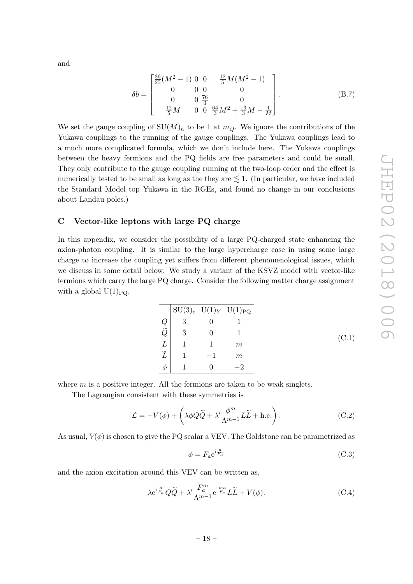and

$$
\delta b = \begin{bmatrix} \frac{36}{25}(M^2 - 1) & 0 & 0 & \frac{12}{5}M(M^2 - 1) \\ 0 & 0 & 0 & 0 \\ 0 & 0 & \frac{76}{3} & 0 \\ \frac{12}{5}M & 0 & 0 & \frac{64}{3}M^2 + \frac{13}{3}M - \frac{1}{M} \end{bmatrix}.
$$
 (B.7)

We set the gauge coupling of  $SU(M)_h$  to be 1 at  $m_Q$ . We ignore the contributions of the Yukawa couplings to the running of the gauge couplings. The Yukawa couplings lead to a much more complicated formula, which we don't include here. The Yukawa couplings between the heavy fermions and the PQ fields are free parameters and could be small. They only contribute to the gauge coupling running at the two-loop order and the effect is numerically tested to be small as long as the they are  $\leq 1$ . (In particular, we have included the Standard Model top Yukawa in the RGEs, and found no change in our conclusions about Landau poles.)

## <span id="page-18-0"></span>C Vector-like leptons with large PQ charge

In this appendix, we consider the possibility of a large PQ-charged state enhancing the axion-photon coupling. It is similar to the large hypercharge case in using some large charge to increase the coupling yet suffers from different phenomenological issues, which we discuss in some detail below. We study a variant of the KSVZ model with vector-like fermions which carry the large PQ charge. Consider the following matter charge assignment with a global  $U(1)_{PQ}$ ,

|           | $SU(3)_c$ $U(1)_Y$ $U(1)_{PQ}$ |
|-----------|--------------------------------|
|           |                                |
| $\bar{3}$ |                                |
|           | $m\,$                          |
|           | $m\,$                          |
|           |                                |

 $(C.1)$ 

where  $m$  is a positive integer. All the fermions are taken to be weak singlets.

The Lagrangian consistent with these symmetries is

$$
\mathcal{L} = -V(\phi) + \left(\lambda \phi Q \tilde{Q} + \lambda' \frac{\phi^m}{\Lambda^{m-1}} L \tilde{L} + \text{h.c.}\right). \tag{C.2}
$$

As usual,  $V(\phi)$  is chosen to give the PQ scalar a VEV. The Goldstone can be parametrized as

$$
\phi = F_a e^{i\frac{a}{F_a}} \tag{C.3}
$$

and the axion excitation around this VEV can be written as,

$$
\lambda e^{\mathrm{i}\frac{a}{F_a}} Q \widetilde{Q} + \lambda' \frac{F_a^m}{\Lambda^{m-1}} e^{\mathrm{i}\frac{ma}{F_a}} L \widetilde{L} + V(\phi). \tag{C.4}
$$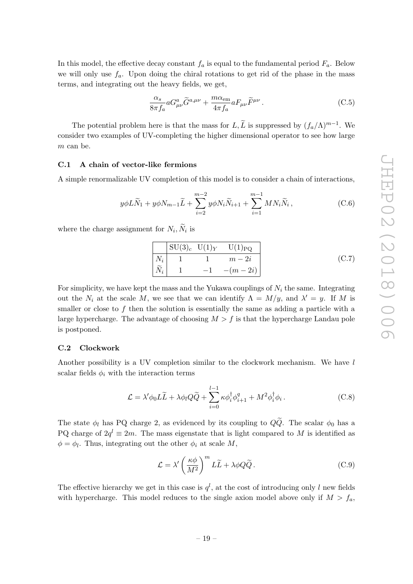In this model, the effective decay constant  $f_a$  is equal to the fundamental period  $F_a$ . Below we will only use  $f_a$ . Upon doing the chiral rotations to get rid of the phase in the mass terms, and integrating out the heavy fields, we get,

$$
\frac{\alpha_s}{8\pi f_a} aG^a_{\mu\nu}\tilde{G}^{a,\mu\nu} + \frac{m\alpha_{\rm em}}{4\pi f_a} aF_{\mu\nu}\tilde{F}^{\mu\nu}.
$$
 (C.5)

The potential problem here is that the mass for  $L, \tilde{L}$  is suppressed by  $(f_a/\Lambda)^{m-1}$ . We consider two examples of UV-completing the higher dimensional operator to see how large m can be.

## <span id="page-19-0"></span>C.1 A chain of vector-like fermions

A simple renormalizable UV completion of this model is to consider a chain of interactions,

$$
y\phi L\widetilde{N}_1 + y\phi N_{m-1}\widetilde{L} + \sum_{i=2}^{m-2} y\phi N_i \widetilde{N}_{i+1} + \sum_{i=1}^{m-1} M N_i \widetilde{N}_i, \qquad (C.6)
$$

where the charge assignment for  $N_i, N_i$  is

$$
\begin{array}{|c|c|c|c|c|c|}\n\hline\nSU(3)_c & U(1)_Y & U(1)_{\text{PQ}} \\
\hline\nN_i & 1 & 1 & m-2i \\
\widetilde{N}_i & 1 & -1 & -(m-2i)\n\end{array}
$$
\n(C.7)

For simplicity, we have kept the mass and the Yukawa couplings of  $N_i$  the same. Integrating out the  $N_i$  at the scale M, we see that we can identify  $\Lambda = M/y$ , and  $\lambda' = y$ . If M is smaller or close to f then the solution is essentially the same as adding a particle with a large hypercharge. The advantage of choosing  $M > f$  is that the hypercharge Landau pole is postponed.

#### <span id="page-19-1"></span>C.2 Clockwork

Another possibility is a UV completion similar to the clockwork mechanism. We have l scalar fields  $\phi_i$  with the interaction terms

$$
\mathcal{L} = \lambda' \phi_0 L \widetilde{L} + \lambda \phi_l Q \widetilde{Q} + \sum_{i=0}^{l-1} \kappa \phi_i^{\dagger} \phi_{i+1}^q + M^2 \phi_i^{\dagger} \phi_i.
$$
 (C.8)

The state  $\phi_l$  has PQ charge 2, as evidenced by its coupling to  $Q\tilde{Q}$ . The scalar  $\phi_0$  has a PQ charge of  $2q^l \equiv 2m$ . The mass eigenstate that is light compared to M is identified as  $\phi = \phi_l$ . Thus, integrating out the other  $\phi_i$  at scale M,

$$
\mathcal{L} = \lambda' \left(\frac{\kappa \phi}{M^2}\right)^m L\widetilde{L} + \lambda \phi Q \widetilde{Q}.
$$
 (C.9)

The effective hierarchy we get in this case is  $q^l$ , at the cost of introducing only l new fields with hypercharge. This model reduces to the single axion model above only if  $M > f_a$ ,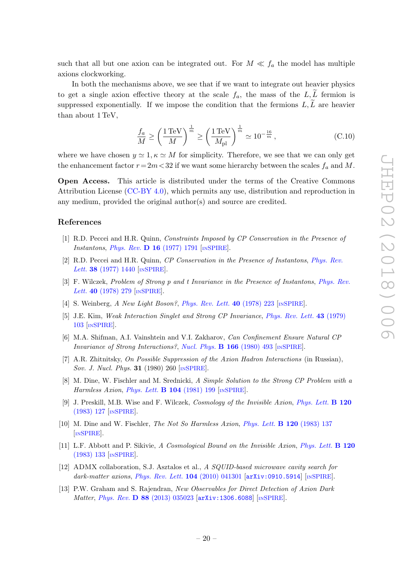such that all but one axion can be integrated out. For  $M \ll f_a$  the model has multiple axions clockworking.

In both the mechanisms above, we see that if we want to integrate out heavier physics to get a single axion effective theory at the scale  $f_a$ , the mass of the L, L fermion is suppressed exponentially. If we impose the condition that the fermions  $L, \widetilde{L}$  are heavier than about 1 TeV,

$$
\frac{f_a}{M} \ge \left(\frac{1\,\text{TeV}}{M}\right)^{\frac{1}{m}} \ge \left(\frac{1\,\text{TeV}}{M_{\text{pl}}}\right)^{\frac{1}{m}} \simeq 10^{-\frac{16}{m}},\tag{C.10}
$$

where we have chosen  $y \approx 1, \kappa \approx M$  for simplicity. Therefore, we see that we can only get the enhancement factor  $r = 2m < 32$  if we want some hierarchy between the scales  $f_a$  and M.

Open Access. This article is distributed under the terms of the Creative Commons Attribution License [\(CC-BY 4.0\)](https://creativecommons.org/licenses/by/4.0/), which permits any use, distribution and reproduction in any medium, provided the original author(s) and source are credited.

### References

- <span id="page-20-0"></span>[1] R.D. Peccei and H.R. Quinn, Constraints Imposed by CP Conservation in the Presence of Instantons, Phys. Rev. D 16 [\(1977\) 1791](https://doi.org/10.1103/PhysRevD.16.1791)  $\text{INSPIRE}$  $\text{INSPIRE}$  $\text{INSPIRE}$ .
- [2] R.D. Peccei and H.R. Quinn, CP Conservation in the Presence of Instantons, [Phys. Rev.](https://doi.org/10.1103/PhysRevLett.38.1440) Lett. **38** [\(1977\) 1440](https://doi.org/10.1103/PhysRevLett.38.1440) [IN[SPIRE](https://inspirehep.net/search?p=find+J+%22Phys.Rev.Lett.,38,1440%22)].
- [3] F. Wilczek, Problem of Strong p and t Invariance in the Presence of Instantons, [Phys. Rev.](https://doi.org/10.1103/PhysRevLett.40.279) Lett. **40** [\(1978\) 279](https://doi.org/10.1103/PhysRevLett.40.279) [IN[SPIRE](https://inspirehep.net/search?p=find+J+%22Phys.Rev.Lett.,40,279%22)].
- [4] S. Weinberg, A New Light Boson?, [Phys. Rev. Lett.](https://doi.org/10.1103/PhysRevLett.40.223) 40 (1978) 223 [IN[SPIRE](https://inspirehep.net/search?p=find+J+%22Phys.Rev.Lett.,40,223%22)].
- <span id="page-20-5"></span>[5] J.E. Kim, Weak Interaction Singlet and Strong CP Invariance, [Phys. Rev. Lett.](https://doi.org/10.1103/PhysRevLett.43.103) 43 (1979) [103](https://doi.org/10.1103/PhysRevLett.43.103) [IN[SPIRE](https://inspirehep.net/search?p=find+J+%22Phys.Rev.Lett.,43,103%22)].
- <span id="page-20-6"></span>[6] M.A. Shifman, A.I. Vainshtein and V.I. Zakharov, Can Confinement Ensure Natural CP Invariance of Strong Interactions?, [Nucl. Phys.](https://doi.org/10.1016/0550-3213(80)90209-6)  $\bf{B}$  166 (1980) 493 [IN[SPIRE](https://inspirehep.net/search?p=find+J+%22Nucl.Phys.,B166,493%22)].
- <span id="page-20-7"></span>[7] A.R. Zhitnitsky, On Possible Suppression of the Axion Hadron Interactions (in Russian), Sov. J. Nucl. Phys. **31** (1980) 260 [IN[SPIRE](https://inspirehep.net/search?p=find+J+%22Sov.J.Nucl.Phys.,31,260%22)].
- <span id="page-20-1"></span>[8] M. Dine, W. Fischler and M. Srednicki, A Simple Solution to the Strong CP Problem with a Harmless Axion, [Phys. Lett.](https://doi.org/10.1016/0370-2693(81)90590-6)  $\bf{B}$  104 (1981) 199 [IN[SPIRE](https://inspirehep.net/search?p=find+J+%22Phys.Lett.,B104,199%22)].
- <span id="page-20-2"></span>[9] J. Preskill, M.B. Wise and F. Wilczek, Cosmology of the Invisible Axion, [Phys. Lett.](https://doi.org/10.1016/0370-2693(83)90637-8) **B 120** [\(1983\) 127](https://doi.org/10.1016/0370-2693(83)90637-8) [IN[SPIRE](https://inspirehep.net/search?p=find+J+%22Phys.Lett.,B120,127%22)].
- [10] M. Dine and W. Fischler, The Not So Harmless Axion, [Phys. Lett.](https://doi.org/10.1016/0370-2693(83)90639-1) B 120 (1983) 137 [IN[SPIRE](https://inspirehep.net/search?p=find+J+%22Phys.Lett.,B120,137%22)].
- <span id="page-20-3"></span>[11] L.F. Abbott and P. Sikivie, A Cosmological Bound on the Invisible Axion, [Phys. Lett.](https://doi.org/10.1016/0370-2693(83)90638-X) B 120 [\(1983\) 133](https://doi.org/10.1016/0370-2693(83)90638-X) [IN[SPIRE](https://inspirehep.net/search?p=find+J+%22Phys.Lett.,B120,133%22)].
- <span id="page-20-4"></span>[12] ADMX collaboration, S.J. Asztalos et al., A SQUID-based microwave cavity search for dark-matter axions, [Phys. Rev. Lett.](https://doi.org/10.1103/PhysRevLett.104.041301) **104** (2010) 041301 [[arXiv:0910.5914](https://arxiv.org/abs/0910.5914)] [IN[SPIRE](https://inspirehep.net/search?p=find+EPRINT+arXiv:0910.5914)].
- <span id="page-20-8"></span>[13] P.W. Graham and S. Rajendran, New Observables for Direct Detection of Axion Dark Matter, Phys. Rev. D 88 [\(2013\) 035023](https://doi.org/10.1103/PhysRevD.88.035023) [[arXiv:1306.6088](https://arxiv.org/abs/1306.6088)] [IN[SPIRE](https://inspirehep.net/search?p=find+EPRINT+arXiv:1306.6088)].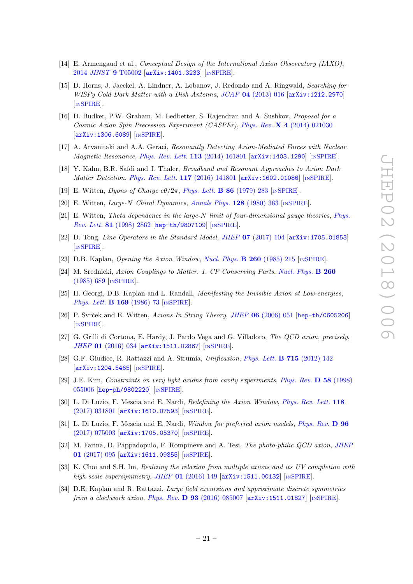- [14] E. Armengaud et al., Conceptual Design of the International Axion Observatory (IAXO), 2014 JINST 9 [T05002](https://doi.org/10.1088/1748-0221/9/05/T05002) [[arXiv:1401.3233](https://arxiv.org/abs/1401.3233)] [IN[SPIRE](https://inspirehep.net/search?p=find+EPRINT+arXiv:1401.3233)].
- [15] D. Horns, J. Jaeckel, A. Lindner, A. Lobanov, J. Redondo and A. Ringwald, Searching for WISPy Cold Dark Matter with a Dish Antenna, JCAP 04 [\(2013\) 016](https://doi.org/10.1088/1475-7516/2013/04/016) [[arXiv:1212.2970](https://arxiv.org/abs/1212.2970)] [IN[SPIRE](https://inspirehep.net/search?p=find+EPRINT+arXiv:1212.2970)].
- <span id="page-21-15"></span>[16] D. Budker, P.W. Graham, M. Ledbetter, S. Rajendran and A. Sushkov, Proposal for a Cosmic Axion Spin Precession Experiment (CASPEr), Phys. Rev. X 4 [\(2014\) 021030](https://doi.org/10.1103/PhysRevX.4.021030) [[arXiv:1306.6089](https://arxiv.org/abs/1306.6089)] [IN[SPIRE](https://inspirehep.net/search?p=find+EPRINT+arXiv:1306.6089)].
- [17] A. Arvanitaki and A.A. Geraci, Resonantly Detecting Axion-Mediated Forces with Nuclear Magnetic Resonance, [Phys. Rev. Lett.](https://doi.org/10.1103/PhysRevLett.113.161801) 113 (2014) 161801 [[arXiv:1403.1290](https://arxiv.org/abs/1403.1290)] [IN[SPIRE](https://inspirehep.net/search?p=find+EPRINT+arXiv:1403.1290)].
- <span id="page-21-0"></span>[18] Y. Kahn, B.R. Safdi and J. Thaler, Broadband and Resonant Approaches to Axion Dark Matter Detection, [Phys. Rev. Lett.](https://doi.org/10.1103/PhysRevLett.117.141801) 117 (2016) 141801 [[arXiv:1602.01086](https://arxiv.org/abs/1602.01086)] [IN[SPIRE](https://inspirehep.net/search?p=find+EPRINT+arXiv:1602.01086)].
- <span id="page-21-1"></span>[19] E. Witten, Dyons of Charge  $e\theta/2\pi$ , [Phys. Lett.](https://doi.org/10.1016/0370-2693(79)90838-4) **B** 86 (1979) 283 [IN[SPIRE](https://inspirehep.net/search?p=find+J+%22Phys.Lett.,B86,283%22)].
- <span id="page-21-9"></span>[20] E. Witten, Large-N Chiral Dynamics, [Annals Phys.](https://doi.org/10.1016/0003-4916(80)90325-5) 128 (1980) 363 [IN[SPIRE](https://inspirehep.net/search?p=find+J+%22AnnalsPhys.,128,363%22)].
- <span id="page-21-10"></span>[21] E. Witten, Theta dependence in the large-N limit of four-dimensional gauge theories, [Phys.](https://doi.org/10.1103/PhysRevLett.81.2862) Rev. Lett. 81 [\(1998\) 2862](https://doi.org/10.1103/PhysRevLett.81.2862) [[hep-th/9807109](https://arxiv.org/abs/hep-th/9807109)] [IN[SPIRE](https://inspirehep.net/search?p=find+EPRINT+hep-th/9807109)].
- <span id="page-21-11"></span>[22] D. Tong, Line Operators in the Standard Model, JHEP **07** [\(2017\) 104](https://doi.org/10.1007/JHEP07(2017)104) [[arXiv:1705.01853](https://arxiv.org/abs/1705.01853)] [IN[SPIRE](https://inspirehep.net/search?p=find+EPRINT+arXiv:1705.01853)].
- <span id="page-21-2"></span>[23] D.B. Kaplan, Opening the Axion Window, [Nucl. Phys.](https://doi.org/10.1016/0550-3213(85)90319-0) B 260 (1985) 215 [IN[SPIRE](https://inspirehep.net/search?p=find+J+%22Nucl.Phys.,B260,215%22)].
- [24] M. Srednicki, Axion Couplings to Matter. 1. CP Conserving Parts, [Nucl. Phys.](https://doi.org/10.1016/0550-3213(85)90054-9) B 260 [\(1985\) 689](https://doi.org/10.1016/0550-3213(85)90054-9) [IN[SPIRE](https://inspirehep.net/search?p=find+J+%22Nucl.Phys.,B260,689%22)].
- [25] H. Georgi, D.B. Kaplan and L. Randall, Manifesting the Invisible Axion at Low-energies, [Phys. Lett.](https://doi.org/10.1016/0370-2693(86)90688-X) **B 169** (1986) 73 [IN[SPIRE](https://inspirehep.net/search?p=find+J+%22Phys.Lett.,B169,73%22)].
- <span id="page-21-3"></span>[26] P. Svrček and E. Witten, Axions In String Theory, JHEP  $06$  [\(2006\) 051](https://doi.org/10.1088/1126-6708/2006/06/051) [[hep-th/0605206](https://arxiv.org/abs/hep-th/0605206)] [IN[SPIRE](https://inspirehep.net/search?p=find+EPRINT+hep-th/0605206)].
- <span id="page-21-4"></span>[27] G. Grilli di Cortona, E. Hardy, J. Pardo Vega and G. Villadoro, The QCD axion, precisely, JHEP 01 [\(2016\) 034](https://doi.org/10.1007/JHEP01(2016)034) [[arXiv:1511.02867](https://arxiv.org/abs/1511.02867)] [IN[SPIRE](https://inspirehep.net/search?p=find+EPRINT+arXiv:1511.02867)].
- <span id="page-21-5"></span>[28] G.F. Giudice, R. Rattazzi and A. Strumia, Unificaxion, [Phys. Lett.](https://doi.org/10.1016/j.physletb.2012.07.028) B 715 (2012) 142 [[arXiv:1204.5465](https://arxiv.org/abs/1204.5465)] [IN[SPIRE](https://inspirehep.net/search?p=find+EPRINT+arXiv:1204.5465)].
- <span id="page-21-6"></span>[29] J.E. Kim, Constraints on very light axions from cavity experiments, [Phys. Rev.](https://doi.org/10.1103/PhysRevD.58.055006) D 58 (1998) [055006](https://doi.org/10.1103/PhysRevD.58.055006) [[hep-ph/9802220](https://arxiv.org/abs/hep-ph/9802220)] [IN[SPIRE](https://inspirehep.net/search?p=find+EPRINT+hep-ph/9802220)].
- <span id="page-21-7"></span>[30] L. Di Luzio, F. Mescia and E. Nardi, Redefining the Axion Window, [Phys. Rev. Lett.](https://doi.org/10.1103/PhysRevLett.118.031801) 118 [\(2017\) 031801](https://doi.org/10.1103/PhysRevLett.118.031801) [[arXiv:1610.07593](https://arxiv.org/abs/1610.07593)] [IN[SPIRE](https://inspirehep.net/search?p=find+EPRINT+arXiv:1610.07593)].
- <span id="page-21-8"></span>[31] L. Di Luzio, F. Mescia and E. Nardi, *Window for preferred axion models, [Phys. Rev.](https://doi.org/10.1103/PhysRevD.96.075003)* D 96 [\(2017\) 075003](https://doi.org/10.1103/PhysRevD.96.075003) [[arXiv:1705.05370](https://arxiv.org/abs/1705.05370)] [IN[SPIRE](https://inspirehep.net/search?p=find+EPRINT+arXiv:1705.05370)].
- <span id="page-21-12"></span>[32] M. Farina, D. Pappadopulo, F. Rompineve and A. Tesi, The photo-philic QCD axion, [JHEP](https://doi.org/10.1007/JHEP01(2017)095) 01 [\(2017\) 095](https://doi.org/10.1007/JHEP01(2017)095) [[arXiv:1611.09855](https://arxiv.org/abs/1611.09855)] [IN[SPIRE](https://inspirehep.net/search?p=find+EPRINT+arXiv:1611.09855)].
- <span id="page-21-13"></span>[33] K. Choi and S.H. Im, Realizing the relaxion from multiple axions and its UV completion with high scale supersymmetry, JHEP  $01$  [\(2016\) 149](https://doi.org/10.1007/JHEP01(2016)149)  $\text{arXiv:1511.00132}$  $\text{arXiv:1511.00132}$  $\text{arXiv:1511.00132}$  [IN[SPIRE](https://inspirehep.net/search?p=find+EPRINT+arXiv:1511.00132)].
- <span id="page-21-14"></span>[34] D.E. Kaplan and R. Rattazzi, Large field excursions and approximate discrete symmetries from a clockwork axion, Phys. Rev.  $\bf{D}$  93 [\(2016\) 085007](https://doi.org/10.1103/PhysRevD.93.085007) [[arXiv:1511.01827](https://arxiv.org/abs/1511.01827)] [IN[SPIRE](https://inspirehep.net/search?p=find+EPRINT+arXiv:1511.01827)].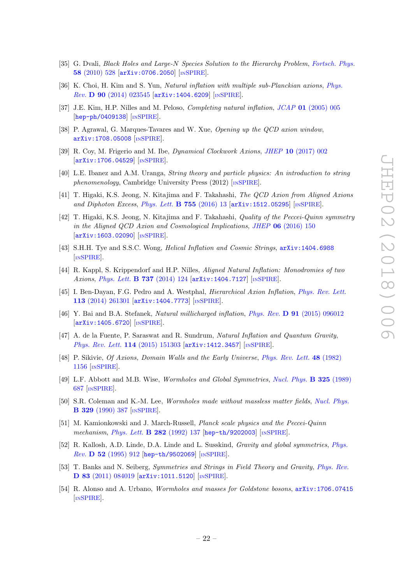- <span id="page-22-0"></span>[35] G. Dvali, Black Holes and Large-N Species Solution to the Hierarchy Problem, [Fortsch. Phys.](https://doi.org/10.1002/prop.201000009) 58 [\(2010\) 528](https://doi.org/10.1002/prop.201000009) [[arXiv:0706.2050](https://arxiv.org/abs/0706.2050)] [IN[SPIRE](https://inspirehep.net/search?p=find+EPRINT+arXiv:0706.2050)].
- <span id="page-22-1"></span>[36] K. Choi, H. Kim and S. Yun, Natural inflation with multiple sub-Planckian axions, [Phys.](https://doi.org/10.1103/PhysRevD.90.023545) Rev. D 90 [\(2014\) 023545](https://doi.org/10.1103/PhysRevD.90.023545) [[arXiv:1404.6209](https://arxiv.org/abs/1404.6209)] [IN[SPIRE](https://inspirehep.net/search?p=find+EPRINT+arXiv:1404.6209)].
- <span id="page-22-2"></span>[37] J.E. Kim, H.P. Nilles and M. Peloso, *Completing natural inflation*, *JCAP* 01 [\(2005\) 005](https://doi.org/10.1088/1475-7516/2005/01/005) [[hep-ph/0409138](https://arxiv.org/abs/hep-ph/0409138)] [IN[SPIRE](https://inspirehep.net/search?p=find+EPRINT+hep-ph/0409138)].
- <span id="page-22-3"></span>[38] P. Agrawal, G. Marques-Tavares and W. Xue, Opening up the QCD axion window, [arXiv:1708.05008](https://arxiv.org/abs/1708.05008) [IN[SPIRE](https://inspirehep.net/search?p=find+EPRINT+arXiv:1708.05008)].
- <span id="page-22-4"></span>[39] R. Coy, M. Frigerio and M. Ibe, Dynamical Clockwork Axions, JHEP 10 [\(2017\) 002](https://doi.org/10.1007/JHEP10(2017)002) [[arXiv:1706.04529](https://arxiv.org/abs/1706.04529)] [IN[SPIRE](https://inspirehep.net/search?p=find+EPRINT+arXiv:1706.04529)].
- <span id="page-22-5"></span>[40] L.E. Ibanez and A.M. Uranga, String theory and particle physics: An introduction to string phenomenology, Cambridge University Press  $(2012)$  [IN[SPIRE](https://inspirehep.net/search?p=find+IRN+9563822)].
- <span id="page-22-6"></span>[41] T. Higaki, K.S. Jeong, N. Kitajima and F. Takahashi, The QCD Axion from Aligned Axions and Diphoton Excess, [Phys. Lett.](https://doi.org/10.1016/j.physletb.2016.01.055) **B** 755 (2016) 13  $\left[\text{arXiv:1512.05295}\right]$  $\left[\text{arXiv:1512.05295}\right]$  $\left[\text{arXiv:1512.05295}\right]$   $\left[\text{nsPIRE}\right]$ .
- <span id="page-22-7"></span>[42] T. Higaki, K.S. Jeong, N. Kitajima and F. Takahashi, Quality of the Peccei-Quinn symmetry in the Aligned QCD Axion and Cosmological Implications, JHEP 06 [\(2016\) 150](https://doi.org/10.1007/JHEP06(2016)150) [[arXiv:1603.02090](https://arxiv.org/abs/1603.02090)] [IN[SPIRE](https://inspirehep.net/search?p=find+EPRINT+arXiv:1603.02090)].
- <span id="page-22-8"></span>[43] S.H.H. Tye and S.S.C. Wong, *Helical Inflation and Cosmic Strings*,  $arX$ iv:1404.6988 [IN[SPIRE](https://inspirehep.net/search?p=find+EPRINT+arXiv:1404.6988)].
- [44] R. Kappl, S. Krippendorf and H.P. Nilles, Aligned Natural Inflation: Monodromies of two Axions, [Phys. Lett.](https://doi.org/10.1016/j.physletb.2014.08.045) **B 737** (2014) 124 [[arXiv:1404.7127](https://arxiv.org/abs/1404.7127)] [IN[SPIRE](https://inspirehep.net/search?p=find+EPRINT+arXiv:1404.7127)].
- [45] I. Ben-Dayan, F.G. Pedro and A. Westphal, Hierarchical Axion Inflation, [Phys. Rev. Lett.](https://doi.org/10.1103/PhysRevLett.113.261301) 113 [\(2014\) 261301](https://doi.org/10.1103/PhysRevLett.113.261301) [[arXiv:1404.7773](https://arxiv.org/abs/1404.7773)] [IN[SPIRE](https://inspirehep.net/search?p=find+EPRINT+arXiv:1404.7773)].
- [46] Y. Bai and B.A. Stefanek, Natural millicharged inflation, Phys. Rev. D 91 [\(2015\) 096012](https://doi.org/10.1103/PhysRevD.91.096012) [[arXiv:1405.6720](https://arxiv.org/abs/1405.6720)] [IN[SPIRE](https://inspirehep.net/search?p=find+EPRINT+arXiv:1405.6720)].
- <span id="page-22-9"></span>[47] A. de la Fuente, P. Saraswat and R. Sundrum, Natural Inflation and Quantum Gravity, [Phys. Rev. Lett.](https://doi.org/10.1103/PhysRevLett.114.151303) 114 (2015) 151303 [[arXiv:1412.3457](https://arxiv.org/abs/1412.3457)] [IN[SPIRE](https://inspirehep.net/search?p=find+EPRINT+arXiv:1412.3457)].
- <span id="page-22-10"></span>[48] P. Sikivie, Of Axions, Domain Walls and the Early Universe, [Phys. Rev. Lett.](https://doi.org/10.1103/PhysRevLett.48.1156) 48 (1982) [1156](https://doi.org/10.1103/PhysRevLett.48.1156) [IN[SPIRE](https://inspirehep.net/search?p=find+J+%22Phys.Rev.Lett.,48,1156%22)].
- <span id="page-22-11"></span>[49] L.F. Abbott and M.B. Wise, Wormholes and Global Symmetries, [Nucl. Phys.](https://doi.org/10.1016/0550-3213(89)90503-8) B 325 (1989) [687](https://doi.org/10.1016/0550-3213(89)90503-8) [IN[SPIRE](https://inspirehep.net/search?p=find+J+%22Nucl.Phys.,B325,687%22)].
- [50] S.R. Coleman and K.-M. Lee, Wormholes made without massless matter fields, [Nucl. Phys.](https://doi.org/10.1016/0550-3213(90)90149-8) B 329 [\(1990\) 387](https://doi.org/10.1016/0550-3213(90)90149-8) [IN[SPIRE](https://inspirehep.net/search?p=find+J+%22Nucl.Phys.,B329,387%22)].
- [51] M. Kamionkowski and J. March-Russell, Planck scale physics and the Peccei-Quinn mechanism, [Phys. Lett.](https://doi.org/10.1016/0370-2693(92)90492-M) **B 282** (1992) 137 [[hep-th/9202003](https://arxiv.org/abs/hep-th/9202003)] [IN[SPIRE](https://inspirehep.net/search?p=find+EPRINT+hep-th/9202003)].
- [52] R. Kallosh, A.D. Linde, D.A. Linde and L. Susskind, Gravity and global symmetries, [Phys.](https://doi.org/10.1103/PhysRevD.52.912) Rev. D 52 [\(1995\) 912](https://doi.org/10.1103/PhysRevD.52.912) [[hep-th/9502069](https://arxiv.org/abs/hep-th/9502069)] [IN[SPIRE](https://inspirehep.net/search?p=find+EPRINT+hep-th/9502069)].
- [53] T. Banks and N. Seiberg, Symmetries and Strings in Field Theory and Gravity, [Phys. Rev.](https://doi.org/10.1103/PhysRevD.83.084019) D 83 [\(2011\) 084019](https://doi.org/10.1103/PhysRevD.83.084019) [[arXiv:1011.5120](https://arxiv.org/abs/1011.5120)] [IN[SPIRE](https://inspirehep.net/search?p=find+EPRINT+arXiv:1011.5120)].
- <span id="page-22-12"></span>[54] R. Alonso and A. Urbano, *Wormholes and masses for Goldstone bosons*,  $arXiv:1706.07415$ [IN[SPIRE](https://inspirehep.net/search?p=find+EPRINT+arXiv:1706.07415)].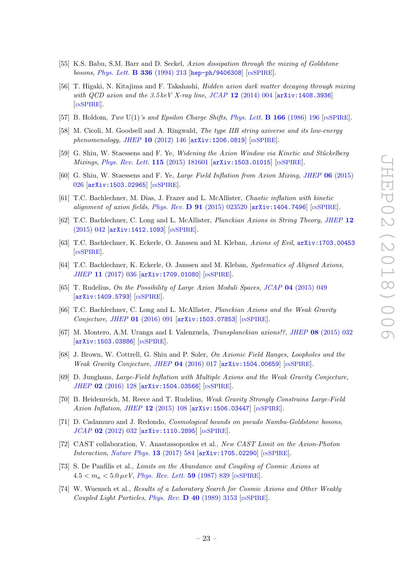- <span id="page-23-0"></span>[55] K.S. Babu, S.M. Barr and D. Seckel, Axion dissipation through the mixing of Goldstone bosons, [Phys. Lett.](https://doi.org/10.1016/0370-2693(94)90241-0) B 336 (1994) 213 [[hep-ph/9406308](https://arxiv.org/abs/hep-ph/9406308)] [IN[SPIRE](https://inspirehep.net/search?p=find+EPRINT+hep-ph/9406308)].
- <span id="page-23-1"></span>[56] T. Higaki, N. Kitajima and F. Takahashi, Hidden axion dark matter decaying through mixing with QCD axion and the  $3.5 \text{ keV}$  X-ray line, JCAP 12 [\(2014\) 004](https://doi.org/10.1088/1475-7516/2014/12/004)  $\text{arXiv:1408.3936}$  $\text{arXiv:1408.3936}$  $\text{arXiv:1408.3936}$ [IN[SPIRE](https://inspirehep.net/search?p=find+EPRINT+arXiv:1408.3936)].
- <span id="page-23-2"></span>[57] B. Holdom, Two U(1)'s and Epsilon Charge Shifts, [Phys. Lett.](https://doi.org/10.1016/0370-2693(86)91377-8) **B 166** (1986) 196  $\lceil NSPIRE \rceil$  $\lceil NSPIRE \rceil$  $\lceil NSPIRE \rceil$ .
- <span id="page-23-3"></span>[58] M. Cicoli, M. Goodsell and A. Ringwald, The type IIB string axiverse and its low-energy phenomenology, JHEP 10 [\(2012\) 146](https://doi.org/10.1007/JHEP10(2012)146) [[arXiv:1206.0819](https://arxiv.org/abs/1206.0819)] [IN[SPIRE](https://inspirehep.net/search?p=find+EPRINT+arXiv:1206.0819)].
- <span id="page-23-4"></span>[59] G. Shiu, W. Staessens and F. Ye, *Widening the Axion Window via Kinetic and Stückelberg* Mixings, [Phys. Rev. Lett.](https://doi.org/10.1103/PhysRevLett.115.181601) 115 (2015) 181601 [[arXiv:1503.01015](https://arxiv.org/abs/1503.01015)] [IN[SPIRE](https://inspirehep.net/search?p=find+EPRINT+arXiv:1503.01015)].
- <span id="page-23-5"></span>[60] G. Shiu, W. Staessens and F. Ye, Large Field Inflation from Axion Mixing, JHEP 06 [\(2015\)](https://doi.org/10.1007/JHEP06(2015)026) [026](https://doi.org/10.1007/JHEP06(2015)026) [[arXiv:1503.02965](https://arxiv.org/abs/1503.02965)] [IN[SPIRE](https://inspirehep.net/search?p=find+EPRINT+arXiv:1503.02965)].
- <span id="page-23-6"></span>[61] T.C. Bachlechner, M. Dias, J. Frazer and L. McAllister, Chaotic inflation with kinetic alignment of axion fields, Phys. Rev. D 91 [\(2015\) 023520](https://doi.org/10.1103/PhysRevD.91.023520) [[arXiv:1404.7496](https://arxiv.org/abs/1404.7496)] [IN[SPIRE](https://inspirehep.net/search?p=find+EPRINT+arXiv:1404.7496)].
- <span id="page-23-8"></span>[62] T.C. Bachlechner, C. Long and L. McAllister, Planckian Axions in String Theory, [JHEP](https://doi.org/10.1007/JHEP12(2015)042) 12 [\(2015\) 042](https://doi.org/10.1007/JHEP12(2015)042) [[arXiv:1412.1093](https://arxiv.org/abs/1412.1093)] [IN[SPIRE](https://inspirehep.net/search?p=find+EPRINT+arXiv:1412.1093)].
- [63] T.C. Bachlechner, K. Eckerle, O. Janssen and M. Kleban, Axions of Evil, [arXiv:1703.00453](https://arxiv.org/abs/1703.00453) [IN[SPIRE](https://inspirehep.net/search?p=find+EPRINT+arXiv:1703.00453)].
- <span id="page-23-7"></span>[64] T.C. Bachlechner, K. Eckerle, O. Janssen and M. Kleban, Systematics of Aligned Axions, JHEP 11 [\(2017\) 036](https://doi.org/10.1007/JHEP11(2017)036) [[arXiv:1709.01080](https://arxiv.org/abs/1709.01080)] [IN[SPIRE](https://inspirehep.net/search?p=find+EPRINT+arXiv:1709.01080)].
- <span id="page-23-9"></span>[65] T. Rudelius, On the Possibility of Large Axion Moduli Spaces, JCAP 04 [\(2015\) 049](https://doi.org/10.1088/1475-7516/2015/04/049) [[arXiv:1409.5793](https://arxiv.org/abs/1409.5793)] [IN[SPIRE](https://inspirehep.net/search?p=find+EPRINT+arXiv:1409.5793)].
- [66] T.C. Bachlechner, C. Long and L. McAllister, Planckian Axions and the Weak Gravity Conjecture, JHEP 01 [\(2016\) 091](https://doi.org/10.1007/JHEP01(2016)091) [[arXiv:1503.07853](https://arxiv.org/abs/1503.07853)] [IN[SPIRE](https://inspirehep.net/search?p=find+EPRINT+arXiv:1503.07853)].
- [67] M. Montero, A.M. Uranga and I. Valenzuela, *Transplanckian axions!?*, *JHEP* 08 [\(2015\) 032](https://doi.org/10.1007/JHEP08(2015)032) [[arXiv:1503.03886](https://arxiv.org/abs/1503.03886)] [IN[SPIRE](https://inspirehep.net/search?p=find+EPRINT+arXiv:1503.03886)].
- [68] J. Brown, W. Cottrell, G. Shiu and P. Soler, On Axionic Field Ranges, Loopholes and the Weak Gravity Conjecture, JHEP 04 [\(2016\) 017](https://doi.org/10.1007/JHEP04(2016)017) [[arXiv:1504.00659](https://arxiv.org/abs/1504.00659)] [IN[SPIRE](https://inspirehep.net/search?p=find+EPRINT+arXiv:1504.00659)].
- [69] D. Junghans, Large-Field Inflation with Multiple Axions and the Weak Gravity Conjecture, JHEP 02 [\(2016\) 128](https://doi.org/10.1007/JHEP02(2016)128) [[arXiv:1504.03566](https://arxiv.org/abs/1504.03566)] [IN[SPIRE](https://inspirehep.net/search?p=find+EPRINT+arXiv:1504.03566)].
- <span id="page-23-10"></span>[70] B. Heidenreich, M. Reece and T. Rudelius, Weak Gravity Strongly Constrains Large-Field Axion Inflation, JHEP 12 [\(2015\) 108](https://doi.org/10.1007/JHEP12(2015)108) [[arXiv:1506.03447](https://arxiv.org/abs/1506.03447)] [IN[SPIRE](https://inspirehep.net/search?p=find+EPRINT+arXiv:1506.03447)].
- <span id="page-23-11"></span>[71] D. Cadamuro and J. Redondo, *Cosmological bounds on pseudo Nambu-Goldstone bosons*, JCAP 02 [\(2012\) 032](https://doi.org/10.1088/1475-7516/2012/02/032) [[arXiv:1110.2895](https://arxiv.org/abs/1110.2895)] [IN[SPIRE](https://inspirehep.net/search?p=find+EPRINT+arXiv:1110.2895)].
- <span id="page-23-12"></span>[72] CAST collaboration, V. Anastassopoulos et al., New CAST Limit on the Axion-Photon Interaction, [Nature Phys.](https://doi.org/10.1038/nphys4109) 13 (2017) 584 [[arXiv:1705.02290](https://arxiv.org/abs/1705.02290)] [IN[SPIRE](https://inspirehep.net/search?p=find+EPRINT+arXiv:1705.02290)].
- <span id="page-23-13"></span>[73] S. De Panfilis et al., Limits on the Abundance and Coupling of Cosmic Axions at  $4.5 < m_a < 5.0 \,\mu eV$ , *[Phys. Rev. Lett.](https://doi.org/10.1103/PhysRevLett.59.839)* **59** (1987) 839 [IN[SPIRE](https://inspirehep.net/search?p=find+J+%22Phys.Rev.Lett.,59,839%22)].
- [74] W. Wuensch et al., Results of a Laboratory Search for Cosmic Axions and Other Weakly Coupled Light Particles, Phys. Rev.  $\bf{D}$  40 [\(1989\) 3153](https://doi.org/10.1103/PhysRevD.40.3153) [IN[SPIRE](https://inspirehep.net/search?p=find+J+%22Phys.Rev.,D40,3153%22)].